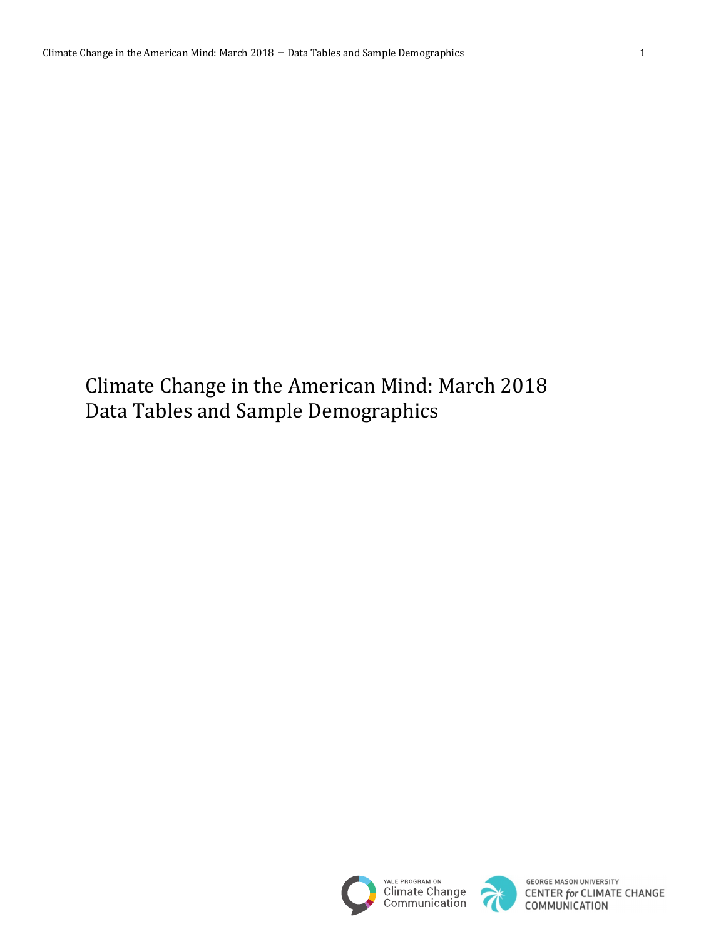Climate Change in the American Mind: March 2018 Data Tables and Sample Demographics





**GEORGE MASON UNIVERSITY CENTER for CLIMATE CHANGE**<br>COMMUNICATION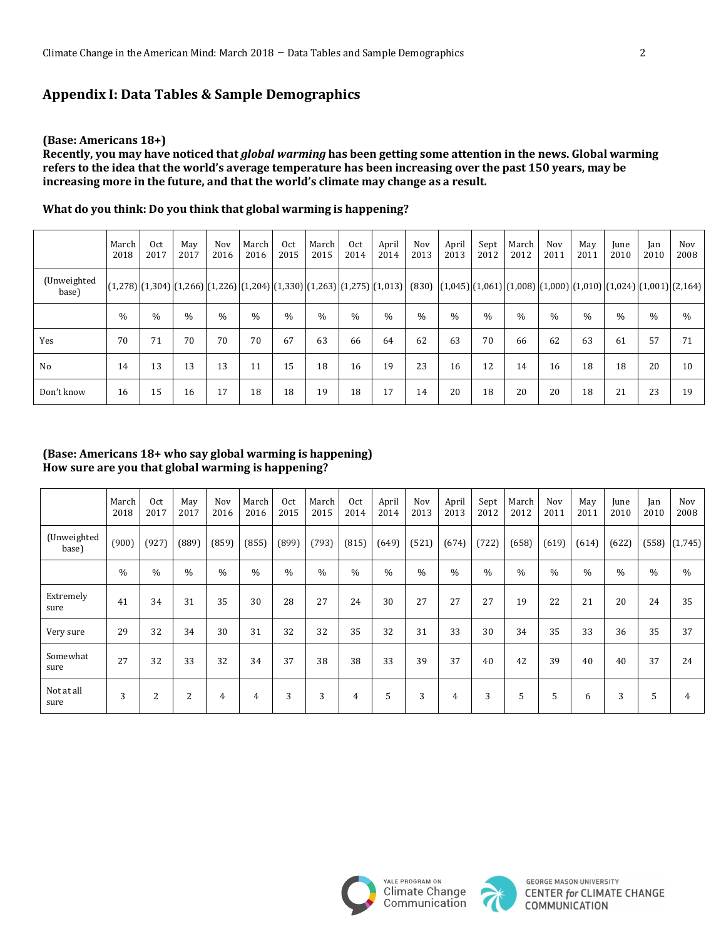# **Appendix I: Data Tables & Sample Demographics**

#### **(Base: Americans 18+)**

Recently, you may have noticed that *global warming* has been getting some attention in the news. Global warming refers to the idea that the world's average temperature has been increasing over the past 150 years, may be increasing more in the future, and that the world's climate may change as a result.

|                      | March<br>2018 | Oct<br>2017   | May<br>2017 | Nov<br>2016 | March<br>2016 | 0 <sub>ct</sub><br>2015 | March<br>2015 | Oct<br>2014   | April<br>2014 | Nov<br>2013 | April<br>2013 | Sept<br>2012  | March<br>2012 | Nov<br>2011 | May<br>2011 | June<br>2010                                                                                                                                         | Jan<br>2010 | Nov<br>2008 |
|----------------------|---------------|---------------|-------------|-------------|---------------|-------------------------|---------------|---------------|---------------|-------------|---------------|---------------|---------------|-------------|-------------|------------------------------------------------------------------------------------------------------------------------------------------------------|-------------|-------------|
| (Unweighted<br>base) |               |               |             |             |               |                         |               |               |               |             |               |               |               |             |             | $[(1,278)](1,304)[(1,266)](1,226)[(1,204)](1,330)](1,263)[(1,275)](1,013)]$ (830) $[(1,045)](1,061)[(1,008)](1,000)](1,010)](1,024)[(1,001)](2,164)$ |             |             |
|                      | $\%$          | $\frac{0}{0}$ | $\%$        | $\%$        | $\frac{0}{0}$ | $\frac{0}{0}$           | $\%$          | $\frac{0}{0}$ | $\%$          | $\%$        | $\%$          | $\frac{0}{0}$ | $\frac{0}{0}$ | $\%$        | $\%$        | $\frac{0}{0}$                                                                                                                                        | $\%$        | $\%$        |
| Yes                  | 70            | 71            | 70          | 70          | 70            | 67                      | 63            | 66            | 64            | 62          | 63            | 70            | 66            | 62          | 63          | 61                                                                                                                                                   | 57          | 71          |
| No                   | 14            | 13            | 13          | 13          | 11            | 15                      | 18            | 16            | 19            | 23          | 16            | 12            | 14            | 16          | 18          | 18                                                                                                                                                   | 20          | 10          |
| Don't know           | 16            | 15            | 16          | 17          | 18            | 18                      | 19            | 18            | 17            | 14          | 20            | 18            | 20            | 20          | 18          | 21                                                                                                                                                   | 23          | 19          |

What do you think: Do you think that global warming is happening?

### **(Base: Americans 18+ who say global warming is happening)** How sure are you that global warming is happening?

|                      | March<br>2018 | Oct<br>2017 | May<br>2017 | Nov<br>2016 | March<br>2016 | Oct<br>2015 | March<br>2015 | 0 <sub>ct</sub><br>2014 | April<br>2014 | Nov<br>2013 | April<br>2013 | Sept<br>2012 | March<br>2012 | Nov<br>2011 | May<br>2011 | June<br>2010  | Jan<br>2010 | Nov<br>2008   |
|----------------------|---------------|-------------|-------------|-------------|---------------|-------------|---------------|-------------------------|---------------|-------------|---------------|--------------|---------------|-------------|-------------|---------------|-------------|---------------|
| (Unweighted<br>base) | (900)         | (927)       | (889)       | (859)       | (855)         | (899)       | (793)         | (815)                   | (649)         | (521)       | (674)         | (722)        | (658)         | (619)       | (614)       | (622)         | (558)       | (1,745)       |
|                      | $\frac{0}{0}$ | $\%$        | $\%$        | $\%$        | $\%$          | $\%$        | $\%$          | $\frac{0}{0}$           | $\%$          | $\%$        | $\%$          | $\%$         | $\%$          | $\%$        | $\%$        | $\frac{0}{0}$ | $\%$        | $\frac{0}{0}$ |
| Extremely<br>sure    | 41            | 34          | 31          | 35          | 30            | 28          | 27            | 24                      | 30            | 27          | 27            | 27           | 19            | 22          | 21          | 20            | 24          | 35            |
| Very sure            | 29            | 32          | 34          | 30          | 31            | 32          | 32            | 35                      | 32            | 31          | 33            | 30           | 34            | 35          | 33          | 36            | 35          | 37            |
| Somewhat<br>sure     | 27            | 32          | 33          | 32          | 34            | 37          | 38            | 38                      | 33            | 39          | 37            | 40           | 42            | 39          | 40          | 40            | 37          | 24            |
| Not at all<br>sure   | 3             | 2           | 2           | 4           | 4             | 3           | 3             | 4                       | 5             | 3           | 4             | 3            | 5             | 5           | 6           | 3             | 5           | 4             |



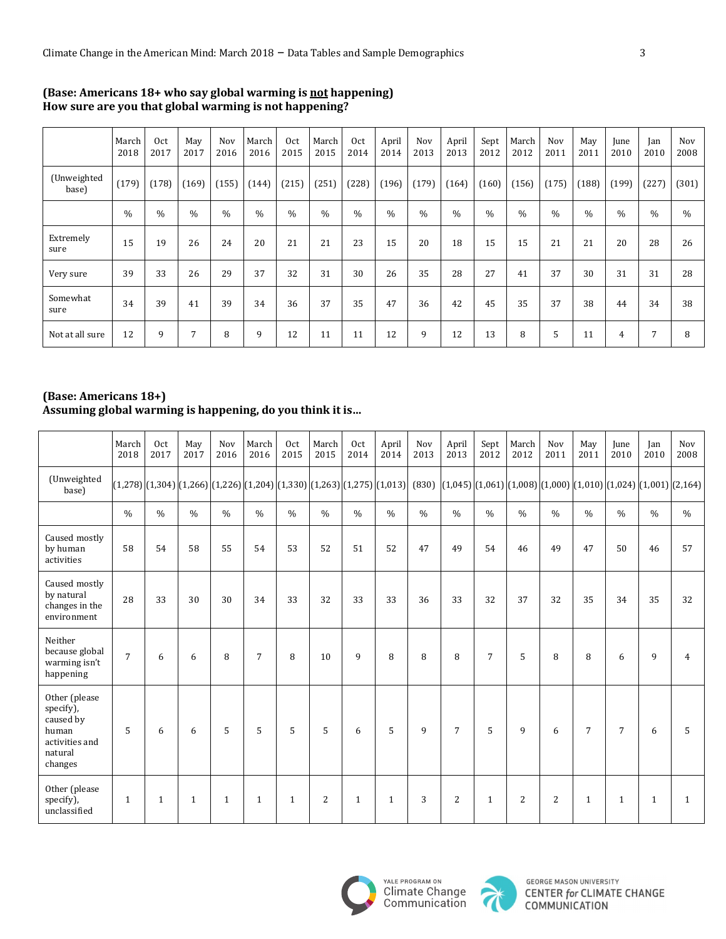|                      | March<br>2018 | Oct<br>2017   | May<br>2017 | Nov<br>2016   | March<br>2016 | Oct<br>2015 | March<br>2015 | Oct<br>2014 | April<br>2014 | Nov<br>2013 | April<br>2013 | Sept<br>2012 | March<br>2012 | Nov<br>2011 | May<br>2011 | June<br>2010   | Jan<br>2010 | Nov<br>2008 |
|----------------------|---------------|---------------|-------------|---------------|---------------|-------------|---------------|-------------|---------------|-------------|---------------|--------------|---------------|-------------|-------------|----------------|-------------|-------------|
| (Unweighted<br>base) | (179)         | (178)         | (169)       | (155)         | (144)         | (215)       | (251)         | (228)       | (196)         | (179)       | (164)         | (160)        | (156)         | (175)       | (188)       | (199)          | (227)       | (301)       |
|                      | $\frac{0}{0}$ | $\frac{0}{0}$ | $\%$        | $\frac{0}{0}$ | $\%$          | $\%$        | $\%$          | $\%$        | $\frac{0}{0}$ | $\%$        | $\frac{0}{0}$ | $\%$         | $\%$          | $\%$        | $\%$        | $\%$           | $\%$        | $\%$        |
| Extremely<br>sure    | 15            | 19            | 26          | 24            | 20            | 21          | 21            | 23          | 15            | 20          | 18            | 15           | 15            | 21          | 21          | 20             | 28          | 26          |
| Very sure            | 39            | 33            | 26          | 29            | 37            | 32          | 31            | 30          | 26            | 35          | 28            | 27           | 41            | 37          | 30          | 31             | 31          | 28          |
| Somewhat<br>sure     | 34            | 39            | 41          | 39            | 34            | 36          | 37            | 35          | 47            | 36          | 42            | 45           | 35            | 37          | 38          | 44             | 34          | 38          |
| Not at all sure      | 12            | 9             | 7           | 8             | 9             | 12          | 11            | 11          | 12            | 9           | 12            | 13           | 8             | 5           | 11          | $\overline{4}$ | 7           | 8           |

### **(Base: Americans 18+ who say global warming is not happening)** How sure are you that global warming is not happening?

# **(Base: Americans 18+)**

# Assuming global warming is happening, do you think it is...

|                                                                                          | March<br>2018  | 0 <sub>ct</sub><br>2017 | May<br>2017   | Nov<br>2016    | March<br>2016   | 0 <sub>ct</sub><br>2015 | March<br>2015  | 0 <sub>ct</sub><br>2014 | April<br>2014                                                                                                                                                                                     | Nov<br>2013   | April<br>2013  | Sept<br>2012   | March<br>2012 | Nov<br>2011 | May<br>2011    | June<br>2010   | Jan<br>2010   | Nov<br>2008    |
|------------------------------------------------------------------------------------------|----------------|-------------------------|---------------|----------------|-----------------|-------------------------|----------------|-------------------------|---------------------------------------------------------------------------------------------------------------------------------------------------------------------------------------------------|---------------|----------------|----------------|---------------|-------------|----------------|----------------|---------------|----------------|
| (Unweighted<br>base)                                                                     |                |                         |               |                |                 |                         |                |                         | $(1,278)$ $[(1,304)$ $[(1,266)$ $[(1,226)$ $[(1,204)$ $[(1,330)$ $[(1,263)$ $[(1,275)$ $[(1,013)$ $(830)$ $[(1,045)$ $[(1,061)$ $[(1,008)$ $[(1,000)$ $[(1,010)$ $[(1,024)$ $[(1,001)$ $[(2,164)$ |               |                |                |               |             |                |                |               |                |
|                                                                                          | $\frac{0}{0}$  | $\frac{0}{0}$           | $\frac{0}{0}$ | $\%$           | $\frac{0}{0}$   | $\frac{0}{0}$           | $\frac{0}{0}$  | $\frac{0}{0}$           | $\frac{0}{0}$                                                                                                                                                                                     | $\frac{0}{0}$ | $\%$           | $\frac{0}{0}$  | $\frac{0}{0}$ | $\%$        | $\frac{0}{0}$  | $\frac{0}{0}$  | $\frac{0}{0}$ | $\frac{0}{0}$  |
| Caused mostly<br>by human<br>activities                                                  | 58             | 54                      | 58            | 55             | 54              | 53                      | 52             | 51                      | 52                                                                                                                                                                                                | 47            | 49             | 54             | 46            | 49          | 47             | 50             | 46            | 57             |
| Caused mostly<br>by natural<br>changes in the<br>environment                             | 28             | 33                      | 30            | 30             | 34              | 33                      | 32             | 33                      | 33                                                                                                                                                                                                | 36            | 33             | 32             | 37            | 32          | 35             | 34             | 35            | 32             |
| Neither<br>because global<br>warming isn't<br>happening                                  | $\overline{7}$ | 6                       | 6             | 8              | $\overline{7}$  | 8                       | 10             | 9                       | 8                                                                                                                                                                                                 | 8             | 8              | $\overline{7}$ | 5             | 8           | 8              | 6              | 9             | $\overline{4}$ |
| Other (please<br>specify),<br>caused by<br>human<br>activities and<br>natural<br>changes | 5              | 6                       | 6             | $\overline{5}$ | $5\overline{5}$ | 5                       | 5              | 6                       | 5                                                                                                                                                                                                 | 9             | $\overline{7}$ | 5              | 9             | 6           | $\overline{7}$ | $\overline{7}$ | 6             | 5              |
| Other (please<br>specify),<br>unclassified                                               | $\mathbf{1}$   | $\mathbf{1}$            | $\mathbf{1}$  | $\mathbf{1}$   | $\mathbf{1}$    | $\mathbf{1}$            | $\overline{2}$ | $\mathbf{1}$            | $\mathbf{1}$                                                                                                                                                                                      | 3             | 2              | $\mathbf{1}$   | 2             | 2           | $\mathbf{1}$   | $\mathbf{1}$   | $\mathbf{1}$  | $\mathbf{1}$   |



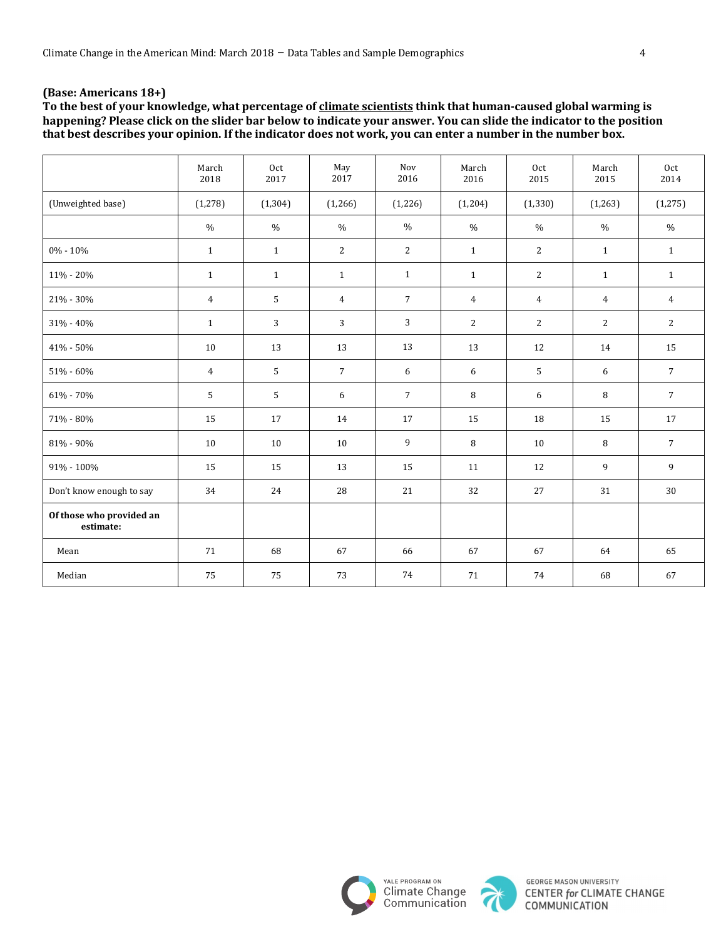To the best of your knowledge, what percentage of climate scientists think that human-caused global warming is happening? Please click on the slider bar below to indicate your answer. You can slide the indicator to the position that best describes your opinion. If the indicator does not work, you can enter a number in the number box.

|                                       | March<br>2018  | Oct<br>2017  | May<br>2017     | Nov<br>2016    | March<br>2016  | Oct<br>2015    | March<br>2015  | Oct<br>2014     |
|---------------------------------------|----------------|--------------|-----------------|----------------|----------------|----------------|----------------|-----------------|
| (Unweighted base)                     | (1, 278)       | (1, 304)     | (1,266)         | (1,226)        | (1, 204)       | (1, 330)       | (1, 263)       | (1, 275)        |
|                                       | $\frac{0}{0}$  | $\%$         | $\%$            | $\frac{0}{0}$  | $\%$           | $\%$           | $\%$           | $\%$            |
| 0% - 10%                              | $\mathbf{1}$   | $\mathbf{1}$ | $\overline{2}$  | $\overline{2}$ | $\mathbf{1}$   | 2              | $\mathbf{1}$   | $\mathbf{1}$    |
| 11% - 20%                             | $\mathbf{1}$   | $\mathbf{1}$ | $\mathbf{1}$    | $\mathbf{1}$   | $\mathbf{1}$   | $\overline{c}$ | $\mathbf{1}$   | $\mathbf{1}$    |
| 21% - 30%                             | $\overline{4}$ | 5            | $\overline{4}$  | $\overline{7}$ | $\overline{4}$ | $\overline{4}$ | $\overline{4}$ | $\overline{4}$  |
| 31% - 40%                             | $\mathbf{1}$   | 3            | 3               | $\mathbf{3}$   | 2              | 2              | 2              | $\overline{2}$  |
| 41% - 50%                             | 10             | 13           | 13              | 13             | 13             | 12             | 14             | 15              |
| 51% - 60%                             | $\overline{4}$ | 5            | $7\overline{ }$ | 6              | 6              | 5              | 6              | $7\overline{ }$ |
| $61\%$ - $70\%$                       | 5              | 5            | 6               | $\overline{7}$ | 8              | 6              | 8              | $\overline{7}$  |
| 71% - 80%                             | 15             | 17           | 14              | 17             | 15             | 18             | 15             | 17              |
| 81% - 90%                             | 10             | 10           | 10              | 9              | 8              | 10             | 8              | $7\overline{ }$ |
| 91% - 100%                            | 15             | 15           | 13              | 15             | 11             | 12             | 9              | 9               |
| Don't know enough to say              | 34             | 24           | 28              | 21             | 32             | 27             | 31             | 30              |
| Of those who provided an<br>estimate: |                |              |                 |                |                |                |                |                 |
| Mean                                  | 71             | 68           | 67              | 66             | 67             | 67             | 64             | 65              |
| Median                                | 75             | 75           | 73              | 74             | 71             | 74             | 68             | 67              |



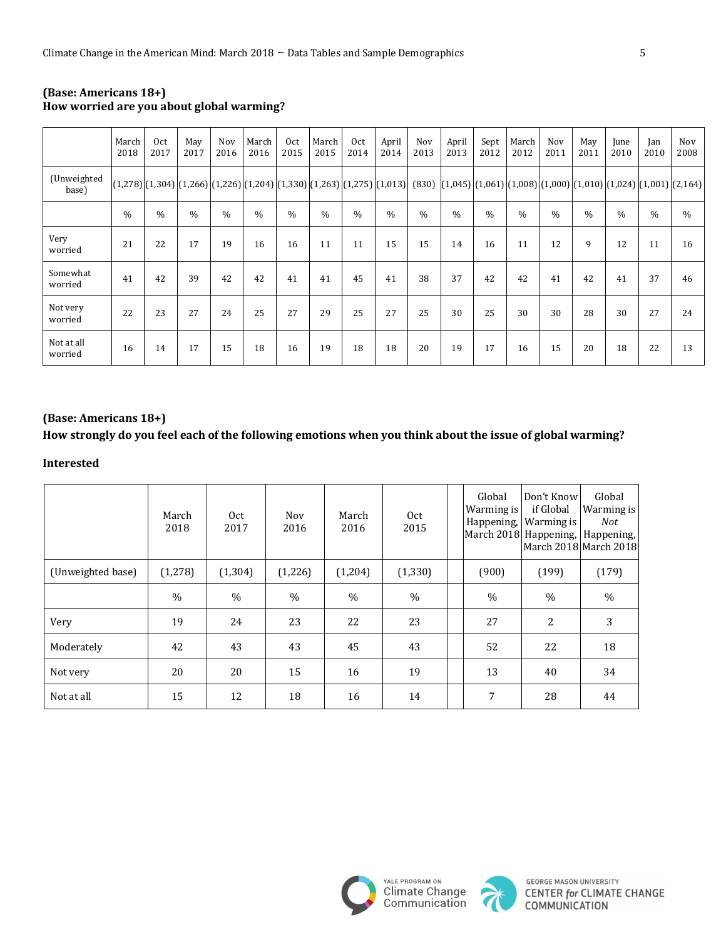|                       | March<br>2018 | Oct<br>2017   | May<br>2017   | Nov<br>2016 | March<br>2016 | Oct<br>2015   | March<br>2015 | Oct<br>2014 | April<br>2014 | Nov<br>2013 | April<br>2013                                                                                                                                                                                                                                                                                                                                                                                                                          | Sept<br>2012  | March<br>2012 | Nov<br>2011   | May<br>2011   | June<br>2010 | Jan<br>2010   | Nov<br>2008 |
|-----------------------|---------------|---------------|---------------|-------------|---------------|---------------|---------------|-------------|---------------|-------------|----------------------------------------------------------------------------------------------------------------------------------------------------------------------------------------------------------------------------------------------------------------------------------------------------------------------------------------------------------------------------------------------------------------------------------------|---------------|---------------|---------------|---------------|--------------|---------------|-------------|
| (Unweighted<br>base)  |               |               |               |             |               |               |               |             |               |             | $\left[(1,278)\right]\left[(1,304)\right]\left[(1,266)\right]\left(1,226\right)\left[(1,204)\right]\left(1,330\right)\left[(1,263)\right]\left(1,013\right)\left[ \left(30\right)\left[\left(1,045\right)\right]\left(1,061\right)\left[(1,008)\right]\left(1,010\right)\left[(1,010)\right]\left(1,024\right)\left[(1,064)\right]\left(1,000\right)\left[1,010\right]\left(1,010\right)\left(1,011\right)\left(1,011\right)\left(1,0$ |               |               |               |               |              |               |             |
|                       | $\frac{0}{0}$ | $\frac{0}{0}$ | $\frac{0}{0}$ | $\%$        | $\frac{0}{0}$ | $\frac{0}{0}$ | $\%$          | $\%$        | $\frac{0}{0}$ | $\%$        | $\frac{0}{0}$                                                                                                                                                                                                                                                                                                                                                                                                                          | $\frac{0}{0}$ | $\frac{0}{0}$ | $\frac{0}{0}$ | $\frac{0}{0}$ | $\%$         | $\frac{0}{0}$ | $\%$        |
| Very<br>worried       | 21            | 22            | 17            | 19          | 16            | 16            | 11            | 11          | 15            | 15          | 14                                                                                                                                                                                                                                                                                                                                                                                                                                     | 16            | 11            | 12            | 9             | 12           | 11            | 16          |
| Somewhat<br>worried   | 41            | 42            | 39            | 42          | 42            | 41            | 41            | 45          | 41            | 38          | 37                                                                                                                                                                                                                                                                                                                                                                                                                                     | 42            | 42            | 41            | 42            | 41           | 37            | 46          |
| Not very<br>worried   | 22            | 23            | 27            | 24          | 25            | 27            | 29            | 25          | 27            | 25          | 30                                                                                                                                                                                                                                                                                                                                                                                                                                     | 25            | 30            | 30            | 28            | 30           | 27            | 24          |
| Not at all<br>worried | 16            | 14            | 17            | 15          | 18            | 16            | 19            | 18          | 18            | 20          | 19                                                                                                                                                                                                                                                                                                                                                                                                                                     | 17            | 16            | 15            | 20            | 18           | 22            | 13          |

#### **(Base: Americans 18+)** How worried are you about global warming?

# **(Base: Americans 18+)**

### How strongly do you feel each of the following emotions when you think about the issue of global warming?

#### **Interested**

|                   | March<br>2018 | 0ct<br>2017   | Nov<br>2016 | March<br>2016 | 0ct<br>2015 | Global<br>Warming is<br>Happening,<br>March 2018 Happening, Happening, | Don't Know<br>if Global<br>Warming is | Global<br>Warming is<br><b>Not</b><br>March 2018 March 2018 |
|-------------------|---------------|---------------|-------------|---------------|-------------|------------------------------------------------------------------------|---------------------------------------|-------------------------------------------------------------|
| (Unweighted base) | (1,278)       | (1, 304)      | (1, 226)    | (1,204)       | (1, 330)    | (900)                                                                  | (199)                                 | (179)                                                       |
|                   | $\frac{0}{0}$ | $\frac{0}{0}$ | $\%$        | $\%$          | $\%$        | $\frac{0}{0}$                                                          | $\frac{0}{0}$                         | $\%$                                                        |
| Very              | 19            | 24            | 23          | 22            | 23          | 27                                                                     | 2                                     | 3                                                           |
| Moderately        | 42            | 43            | 43          | 45            | 43          | 52                                                                     | 22                                    | 18                                                          |
| Not very          | 20            | 20            | 15          | 16            | 19          | 13                                                                     | 40                                    | 34                                                          |
| Not at all        | 15            | 12            | 18          | 16            | 14          | 7                                                                      | 28                                    | 44                                                          |



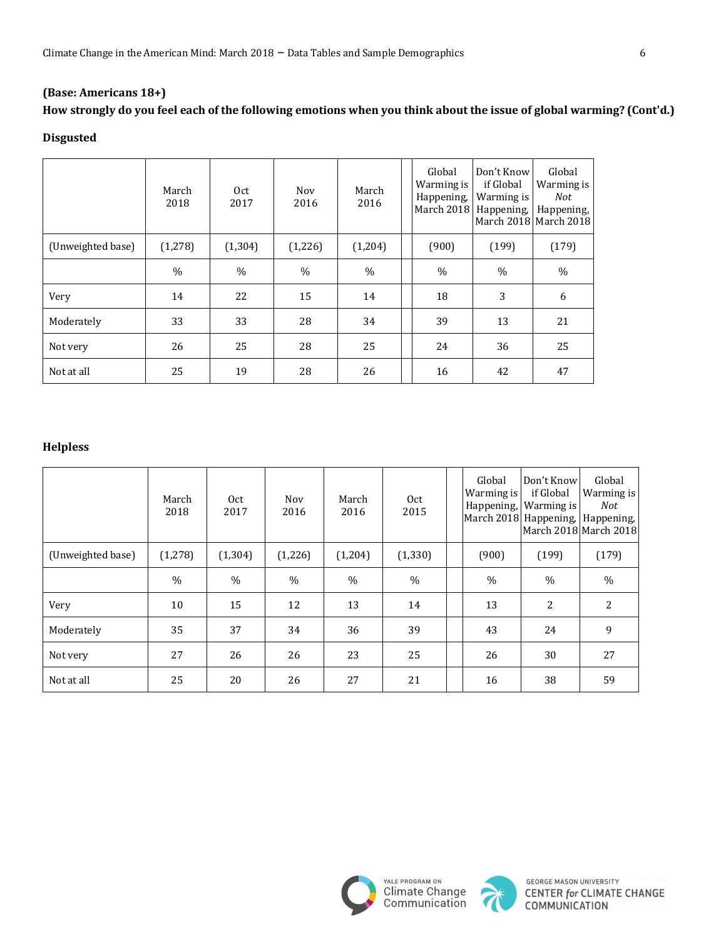# How strongly do you feel each of the following emotions when you think about the issue of global warming? (Cont'd.)

## **Disgusted**

|                   | March<br>2018 | Oct<br>2017   | <b>Nov</b><br>2016 | March<br>2016 | Global<br>Warming is<br>Happening,<br>March 2018 | Don't Know<br>if Global<br>Warming is<br>Happening, | Global<br>Warming is<br>Not<br>Happening,<br>March 2018 March 2018 |
|-------------------|---------------|---------------|--------------------|---------------|--------------------------------------------------|-----------------------------------------------------|--------------------------------------------------------------------|
| (Unweighted base) | (1,278)       | (1, 304)      | (1,226)            | (1,204)       | (900)                                            | (199)                                               | (179)                                                              |
|                   | $\%$          | $\frac{0}{0}$ | $\%$               | $\frac{0}{0}$ | $\frac{0}{0}$                                    | $\frac{0}{0}$                                       | $\frac{0}{0}$                                                      |
| Very              | 14            | 22            | 15                 | 14            | 18                                               | 3                                                   | 6                                                                  |
| Moderately        | 33            | 33            | 28                 | 34            | 39                                               | 13                                                  | 21                                                                 |
| Not very          | 26            | 25            | 28                 | 25            | 24                                               | 36                                                  | 25                                                                 |
| Not at all        | 25            | 19            | 28                 | 26            | 16                                               | 42                                                  | 47                                                                 |

# **Helpless**

|                   | March<br>2018 | Oct<br>2017   | Nov<br>2016   | March<br>2016 | 0 <sub>ct</sub><br>2015 | Global<br>Warming is<br>Happening, | Don't Know<br>if Global<br>Warming is<br>March 2018 Happening, | Global<br>Warming is<br><b>Not</b><br>Happening,<br>March 2018 March 2018 |
|-------------------|---------------|---------------|---------------|---------------|-------------------------|------------------------------------|----------------------------------------------------------------|---------------------------------------------------------------------------|
| (Unweighted base) | (1,278)       | (1, 304)      | (1,226)       | (1,204)       | (1, 330)                | (900)                              | (199)                                                          | (179)                                                                     |
|                   | $\frac{0}{0}$ | $\frac{0}{0}$ | $\frac{0}{0}$ | $\%$          | $\%$                    | $\frac{0}{0}$                      | $\%$                                                           | $\frac{0}{0}$                                                             |
| Very              | 10            | 15            | 12            | 13            | 14                      | 13                                 | $\overline{2}$                                                 | 2                                                                         |
| Moderately        | 35            | 37            | 34            | 36            | 39                      | 43                                 | 24                                                             | 9                                                                         |
| Not very          | 27            | 26            | 26            | 23            | 25                      | 26                                 | 30                                                             | 27                                                                        |
| Not at all        | 25            | 20            | 26            | 27            | 21                      | 16                                 | 38                                                             | 59                                                                        |



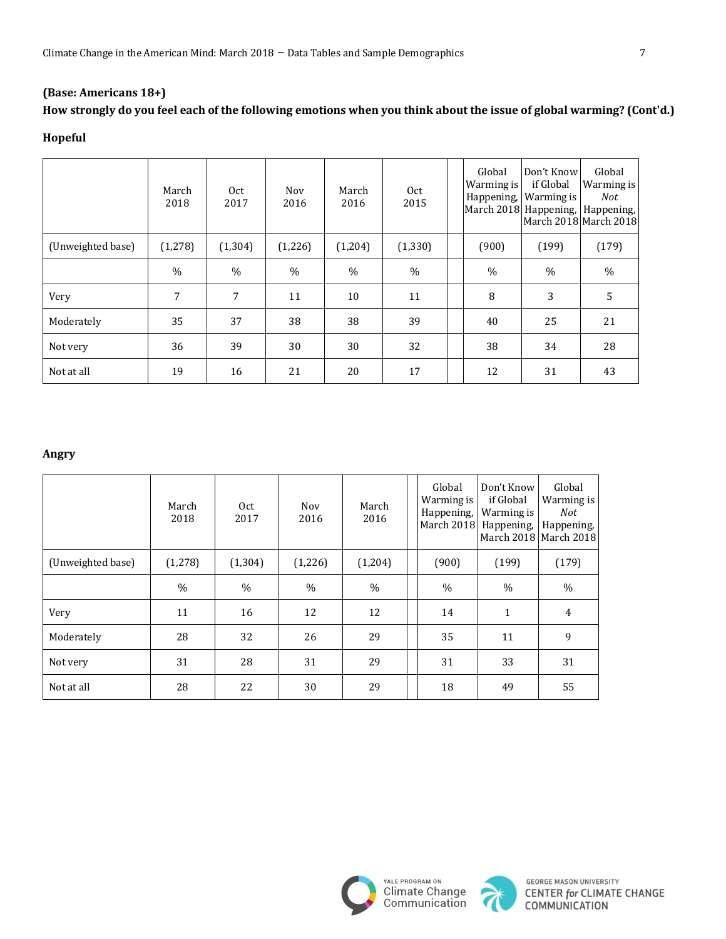# How strongly do you feel each of the following emotions when you think about the issue of global warming? (Cont'd.)

## **Hopeful**

|                   | March<br>2018 | 0ct<br>2017   | Nov<br>2016 | March<br>2016 | 0 <sub>ct</sub><br>2015 | Global<br>Warming is<br>Happening, | Don't Know <br>if Global<br>Warming is<br>March 2018 Happening,   Happening,<br>March 2018 March 2018 | Global<br>Warming is<br><b>Not</b> |
|-------------------|---------------|---------------|-------------|---------------|-------------------------|------------------------------------|-------------------------------------------------------------------------------------------------------|------------------------------------|
| (Unweighted base) | (1,278)       | (1, 304)      | (1,226)     | (1,204)       | (1, 330)                | (900)                              | (199)                                                                                                 | (179)                              |
|                   | $\%$          | $\frac{0}{0}$ | $\%$        | $\frac{0}{0}$ | $\%$                    | $\frac{0}{0}$                      | $\%$                                                                                                  | $\%$                               |
| Very              | 7             | 7             | 11          | 10            | 11                      | 8                                  | 3                                                                                                     | 5                                  |
| Moderately        | 35            | 37            | 38          | 38            | 39                      | 40                                 | 25                                                                                                    | 21                                 |
| Not very          | 36            | 39            | 30          | 30            | 32                      | 38                                 | 34                                                                                                    | 28                                 |
| Not at all        | 19            | 16            | 21          | 20            | 17                      | 12                                 | 31                                                                                                    | 43                                 |

### **Angry**

|                   | March<br>2018 | 0ct<br>2017   | Nov<br>2016   | March<br>2016 | Global<br>Warming is<br>Happening,<br>March 2018 | Don't Know<br>if Global<br>Warming is<br>Happening, | Global<br>Warming is<br>Not<br>Happening,<br>March 2018 March 2018 |
|-------------------|---------------|---------------|---------------|---------------|--------------------------------------------------|-----------------------------------------------------|--------------------------------------------------------------------|
| (Unweighted base) | (1,278)       | (1, 304)      | (1,226)       | (1,204)       | (900)                                            | (199)                                               | (179)                                                              |
|                   | $\frac{0}{0}$ | $\frac{0}{0}$ | $\frac{0}{0}$ | $\frac{0}{0}$ | $\frac{0}{0}$                                    | $\%$                                                | $\%$                                                               |
| Very              | 11            | 16            | 12            | 12            | 14                                               | $\mathbf{1}$                                        | $\overline{4}$                                                     |
| Moderately        | 28            | 32            | 26            | 29            | 35                                               | 11                                                  | 9                                                                  |
| Not very          | 31            | 28            | 31            | 29            | 31                                               | 33                                                  | 31                                                                 |
| Not at all        | 28            | 22            | 30            | 29            | 18                                               | 49                                                  | 55                                                                 |



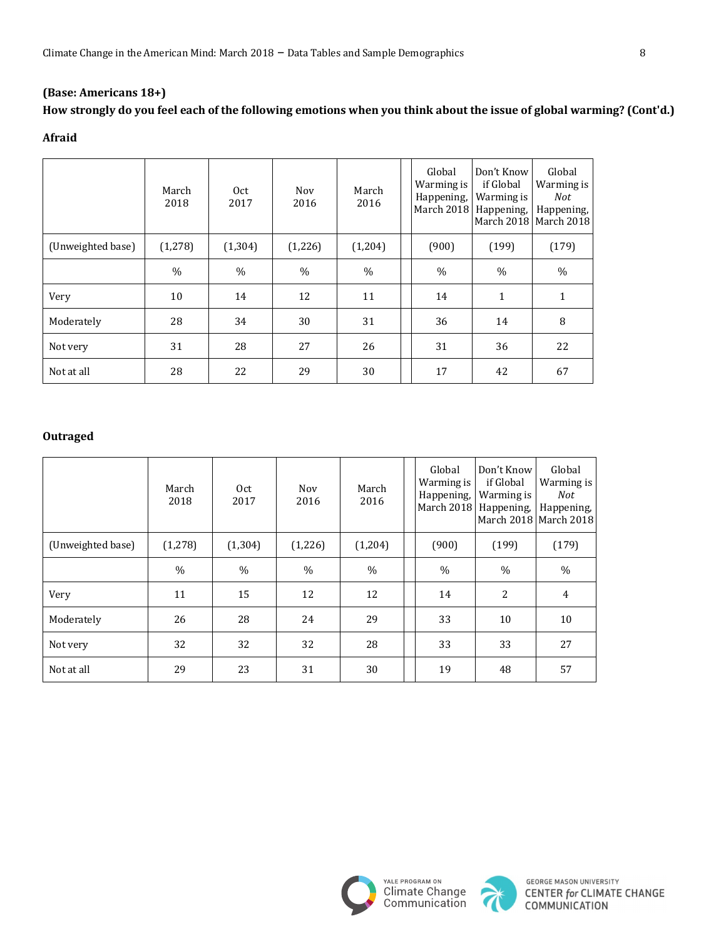# How strongly do you feel each of the following emotions when you think about the issue of global warming? (Cont'd.)

## **Afraid**

|                   | March<br>2018 | 0ct<br>2017   | Nov<br>2016 | March<br>2016 | Global<br>Warming is<br>Happening, | Don't Know<br>if Global<br>Warming is<br>March 2018 Happening, | Global<br>Warming is<br>Not<br>Happening,<br>March 2018 March 2018 |
|-------------------|---------------|---------------|-------------|---------------|------------------------------------|----------------------------------------------------------------|--------------------------------------------------------------------|
| (Unweighted base) | (1,278)       | (1, 304)      | (1,226)     | (1,204)       | (900)                              | (199)                                                          | (179)                                                              |
|                   | $\frac{0}{0}$ | $\frac{0}{0}$ | $\%$        | $\%$          | $\%$                               | $\frac{0}{0}$                                                  | $\%$                                                               |
| Very              | 10            | 14            | 12          | 11            | 14                                 | $\mathbf{1}$                                                   | 1                                                                  |
| Moderately        | 28            | 34            | 30          | 31            | 36                                 | 14                                                             | 8                                                                  |
| Not very          | 31            | 28            | 27          | 26            | 31                                 | 36                                                             | 22                                                                 |
| Not at all        | 28            | 22            | 29          | 30            | 17                                 | 42                                                             | 67                                                                 |

### **Outraged**

|                   | March<br>2018 | 0ct<br>2017   | Nov<br>2016 | March<br>2016 | Global<br>Warming is<br>Happening,<br>March 2018 | Don't Know<br>if Global<br>Warming is<br>Happening, | Global<br>Warming is<br>Not<br>Happening,<br>March 2018 March 2018 |
|-------------------|---------------|---------------|-------------|---------------|--------------------------------------------------|-----------------------------------------------------|--------------------------------------------------------------------|
| (Unweighted base) | (1,278)       | (1,304)       | (1,226)     | (1,204)       | (900)                                            | (199)                                               | (179)                                                              |
|                   | $\frac{0}{0}$ | $\frac{0}{0}$ | $\%$        | $\frac{0}{0}$ | $\frac{0}{0}$                                    | $\%$                                                | $\frac{0}{0}$                                                      |
| Very              | 11            | 15            | 12          | 12            | 14                                               | 2                                                   | $\overline{4}$                                                     |
| Moderately        | 26            | 28            | 24          | 29            | 33                                               | 10                                                  | 10                                                                 |
| Not very          | 32            | 32            | 32          | 28            | 33                                               | 33                                                  | 27                                                                 |
| Not at all        | 29            | 23            | 31          | 30            | 19                                               | 48                                                  | 57                                                                 |



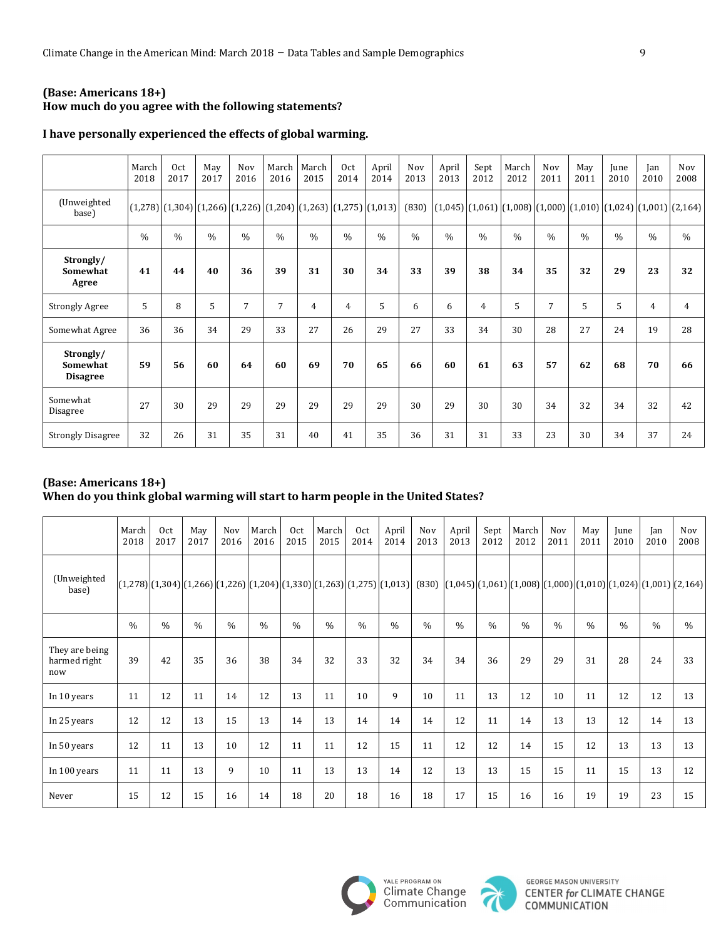### **(Base: Americans 18+)** How much do you agree with the following statements?

|                                          | March<br>2018 | Oct<br>2017   | May<br>2017   | Nov<br>2016                                                                     | March<br>2016 | March<br>2015 | Oct<br>2014   | April<br>2014 | Nov<br>2013   | April<br>2013 | Sept<br>2012  | March<br>2012 | Nov<br>2011   | May<br>2011                                                                      | June<br>2010  | <b>Jan</b><br>2010 | Nov<br>2008    |
|------------------------------------------|---------------|---------------|---------------|---------------------------------------------------------------------------------|---------------|---------------|---------------|---------------|---------------|---------------|---------------|---------------|---------------|----------------------------------------------------------------------------------|---------------|--------------------|----------------|
| (Unweighted<br>base)                     |               |               |               | $(1,278)$ $(1,304)$ $(1,266)$ $(1,226)$ $(1,204)$ $(1,263)$ $(1,275)$ $(1,013)$ |               |               |               |               | (830)         |               |               |               |               | $\left[ (1,045) \right] (1,061) (1,008) (1,000) (1,010) (1,024) (1,001) (2,164)$ |               |                    |                |
|                                          | $\frac{0}{0}$ | $\frac{0}{0}$ | $\frac{0}{0}$ | $\frac{0}{0}$                                                                   | $\frac{0}{0}$ | $\frac{0}{0}$ | $\frac{0}{0}$ | $\frac{0}{0}$ | $\frac{0}{0}$ | $\frac{0}{0}$ | $\frac{0}{0}$ | $\frac{0}{0}$ | $\frac{0}{0}$ | $\%$                                                                             | $\frac{0}{0}$ | $\frac{0}{0}$      | $\frac{0}{0}$  |
| Strongly/<br>Somewhat<br>Agree           | 41            | 44            | 40            | 36                                                                              | 39            | 31            | 30            | 34            | 33            | 39            | 38            | 34            | 35            | 32                                                                               | 29            | 23                 | 32             |
| <b>Strongly Agree</b>                    | 5             | 8             | 5             | 7                                                                               | 7             | 4             | 4             | 5             | 6             | 6             | 4             | 5             | 7             | 5                                                                                | 5             | 4                  | $\overline{4}$ |
| Somewhat Agree                           | 36            | 36            | 34            | 29                                                                              | 33            | 27            | 26            | 29            | 27            | 33            | 34            | 30            | 28            | 27                                                                               | 24            | 19                 | 28             |
| Strongly/<br>Somewhat<br><b>Disagree</b> | 59            | 56            | 60            | 64                                                                              | 60            | 69            | 70            | 65            | 66            | 60            | 61            | 63            | 57            | 62                                                                               | 68            | 70                 | 66             |
| Somewhat<br>Disagree                     | 27            | 30            | 29            | 29                                                                              | 29            | 29            | 29            | 29            | 30            | 29            | 30            | 30            | 34            | 32                                                                               | 34            | 32                 | 42             |
| <b>Strongly Disagree</b>                 | 32            | 26            | 31            | 35                                                                              | 31            | 40            | 41            | 35            | 36            | 31            | 31            | 33            | 23            | 30                                                                               | 34            | 37                 | 24             |

### I have personally experienced the effects of global warming.

## **(Base: Americans 18+)** When do you think global warming will start to harm people in the United States?

|                                       | March<br>2018 | 0 <sub>ct</sub><br>2017 | May<br>2017   | Nov<br>2016   | March<br>2016 | 0 <sub>ct</sub><br>2015 | March<br>2015 | 0 <sub>ct</sub><br>2014 | April<br>2014                                                       | Nov<br>2013   | April<br>2013                                                                   | Sept<br>2012  | March<br>2012 | Nov<br>2011   | May<br>2011   | June<br>2010  | Jan<br>2010   | Nov<br>2008   |
|---------------------------------------|---------------|-------------------------|---------------|---------------|---------------|-------------------------|---------------|-------------------------|---------------------------------------------------------------------|---------------|---------------------------------------------------------------------------------|---------------|---------------|---------------|---------------|---------------|---------------|---------------|
| (Unweighted<br>base)                  |               |                         |               |               |               |                         |               |                         | $[(1,278)][1,304][1,266][1,226][1,204][1,330][1,263][1,275][1,013]$ | (830)         | $(1,045)$ $(1,061)$ $(1,008)$ $(1,000)$ $(1,010)$ $(1,024)$ $(1,001)$ $(2,164)$ |               |               |               |               |               |               |               |
|                                       | $\frac{0}{0}$ | $\frac{0}{0}$           | $\frac{0}{0}$ | $\frac{0}{0}$ | $\frac{0}{0}$ | $\frac{0}{0}$           | $\frac{0}{0}$ | $\frac{0}{0}$           | $\frac{0}{0}$                                                       | $\frac{0}{0}$ | $\frac{0}{0}$                                                                   | $\frac{0}{0}$ | $\frac{0}{0}$ | $\frac{0}{0}$ | $\frac{0}{0}$ | $\frac{0}{0}$ | $\frac{0}{0}$ | $\frac{0}{0}$ |
| They are being<br>harmed right<br>now | 39            | 42                      | 35            | 36            | 38            | 34                      | 32            | 33                      | 32                                                                  | 34            | 34                                                                              | 36            | 29            | 29            | 31            | 28            | 24            | 33            |
| In 10 years                           | 11            | 12                      | 11            | 14            | 12            | 13                      | 11            | 10                      | 9                                                                   | 10            | 11                                                                              | 13            | 12            | 10            | 11            | 12            | 12            | 13            |
| In 25 years                           | 12            | 12                      | 13            | 15            | 13            | 14                      | 13            | 14                      | 14                                                                  | 14            | 12                                                                              | 11            | 14            | 13            | 13            | 12            | 14            | 13            |
| In 50 years                           | 12            | 11                      | 13            | 10            | 12            | 11                      | 11            | 12                      | 15                                                                  | 11            | 12                                                                              | 12            | 14            | 15            | 12            | 13            | 13            | 13            |
| In 100 years                          | 11            | 11                      | 13            | 9             | 10            | 11                      | 13            | 13                      | 14                                                                  | 12            | 13                                                                              | 13            | 15            | 15            | 11            | 15            | 13            | 12            |
| Never                                 | 15            | 12                      | 15            | 16            | 14            | 18                      | 20            | 18                      | 16                                                                  | 18            | 17                                                                              | 15            | 16            | 16            | 19            | 19            | 23            | 15            |



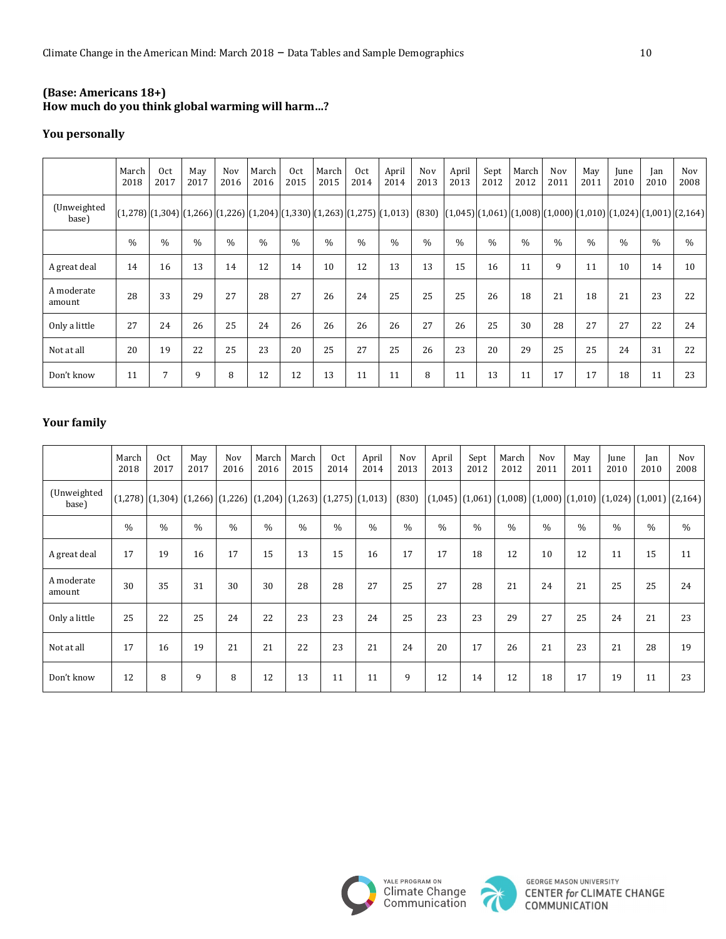# **(Base: Americans 18+) How much do you think global warming will harm…?**

## **You personally**

|                      | March<br>2018 | Oct<br>2017   | May<br>2017   | Nov<br>2016 | March<br>2016 | Oct<br>2015   | March<br>2015 | Oct<br>2014 | April<br>2014                                                                             | Nov<br>2013   | April<br>2013 | Sept<br>2012  | March<br>2012 | Nov<br>2011 | May<br>2011   | June<br>2010  | Ian<br>2010                                                                             | Nov<br>2008   |
|----------------------|---------------|---------------|---------------|-------------|---------------|---------------|---------------|-------------|-------------------------------------------------------------------------------------------|---------------|---------------|---------------|---------------|-------------|---------------|---------------|-----------------------------------------------------------------------------------------|---------------|
| (Unweighted<br>base) |               |               |               |             |               |               |               |             | $(1,278)$ $(1,304)$ $(1,266)$ $(1,226)$ $(1,204)$ $(1,330)$ $(1,263)$ $(1,275)$ $(1,013)$ | (830)         |               |               |               |             |               |               | $[(1,045)$ $[(1,061)$ $[(1,008)$ $[(1,000)$ $[(1,010)$ $[(1,024)$ $[(1,001)$ $[(2,164)$ |               |
|                      | $\frac{0}{0}$ | $\frac{0}{0}$ | $\frac{0}{0}$ | $\%$        | $\frac{0}{0}$ | $\frac{0}{0}$ | $\frac{0}{0}$ | $\%$        | $\frac{0}{0}$                                                                             | $\frac{0}{0}$ | $\frac{0}{0}$ | $\frac{0}{0}$ | $\frac{0}{0}$ | $\%$        | $\frac{0}{0}$ | $\frac{0}{0}$ | $\frac{0}{0}$                                                                           | $\frac{0}{0}$ |
| A great deal         | 14            | 16            | 13            | 14          | 12            | 14            | 10            | 12          | 13                                                                                        | 13            | 15            | 16            | 11            | 9           | 11            | 10            | 14                                                                                      | 10            |
| A moderate<br>amount | 28            | 33            | 29            | 27          | 28            | 27            | 26            | 24          | 25                                                                                        | 25            | 25            | 26            | 18            | 21          | 18            | 21            | 23                                                                                      | 22            |
| Only a little        | 27            | 24            | 26            | 25          | 24            | 26            | 26            | 26          | 26                                                                                        | 27            | 26            | 25            | 30            | 28          | 27            | 27            | 22                                                                                      | 24            |
| Not at all           | 20            | 19            | 22            | 25          | 23            | 20            | 25            | 27          | 25                                                                                        | 26            | 23            | 20            | 29            | 25          | 25            | 24            | 31                                                                                      | 22            |
| Don't know           | 11            | 7             | 9             | 8           | 12            | 12            | 13            | 11          | 11                                                                                        | 8             | 11            | 13            | 11            | 17          | 17            | 18            | 11                                                                                      | 23            |

# **Your family**

|                      | March<br>2018 | Oct<br>2017   | May<br>2017 | Nov<br>2016 | March<br>2016 | March<br>2015 | Oct<br>2014   | April<br>2014                                                                   | Nov<br>2013   | April<br>2013 | Sept<br>2012  | March<br>2012 | Nov<br>2011   | May<br>2011 | June<br>2010  | Jan<br>2010                                                                                                                   | Nov<br>2008 |
|----------------------|---------------|---------------|-------------|-------------|---------------|---------------|---------------|---------------------------------------------------------------------------------|---------------|---------------|---------------|---------------|---------------|-------------|---------------|-------------------------------------------------------------------------------------------------------------------------------|-------------|
| (Unweighted<br>base) |               |               |             |             |               |               |               | $(1,278)$ $(1,304)$ $(1,266)$ $(1,226)$ $(1,204)$ $(1,263)$ $(1,275)$ $(1,013)$ | (830)         |               |               |               |               |             |               | $\left[ (1,045) \right] (1,061) \left[ (1,008) \right] (1,000) \left[ (1,010) \right] (1,024) \left[ (1,001) \right] (2,164)$ |             |
|                      | $\frac{0}{0}$ | $\frac{0}{0}$ | $\%$        | $\%$        | $\%$          | $\frac{0}{0}$ | $\frac{0}{0}$ | $\frac{0}{0}$                                                                   | $\frac{0}{0}$ | $\%$          | $\frac{0}{0}$ | $\frac{0}{0}$ | $\frac{0}{0}$ | $\%$        | $\frac{0}{0}$ | $\%$                                                                                                                          | $\%$        |
| A great deal         | 17            | 19            | 16          | 17          | 15            | 13            | 15            | 16                                                                              | 17            | 17            | 18            | 12            | 10            | 12          | 11            | 15                                                                                                                            | 11          |
| A moderate<br>amount | 30            | 35            | 31          | 30          | 30            | 28            | 28            | 27                                                                              | 25            | 27            | 28            | 21            | 24            | 21          | 25            | 25                                                                                                                            | 24          |
| Only a little        | 25            | 22            | 25          | 24          | 22            | 23            | 23            | 24                                                                              | 25            | 23            | 23            | 29            | 27            | 25          | 24            | 21                                                                                                                            | 23          |
| Not at all           | 17            | 16            | 19          | 21          | 21            | 22            | 23            | 21                                                                              | 24            | 20            | 17            | 26            | 21            | 23          | 21            | 28                                                                                                                            | 19          |
| Don't know           | 12            | 8             | 9           | 8           | 12            | 13            | 11            | 11                                                                              | 9             | 12            | 14            | 12            | 18            | 17          | 19            | 11                                                                                                                            | 23          |



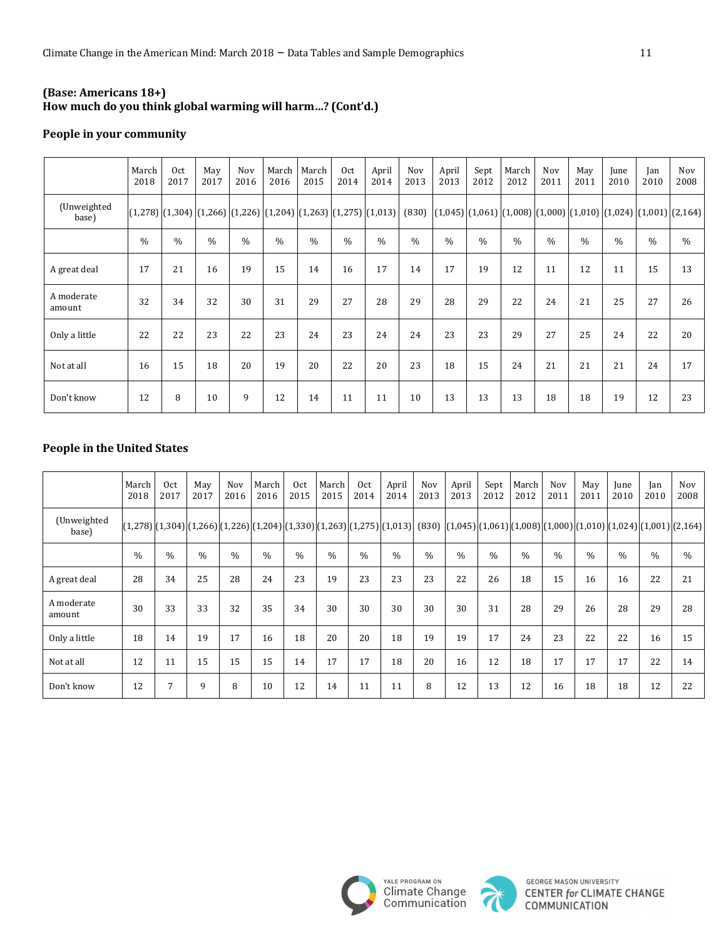### **(Base: Americans 18+) How much do you think global warming will harm…? (Cont'd.)**

### **People in your community**

|                      | March<br>2018 | Oct<br>2017   | May<br>2017   | Nov<br>2016   | March<br>2016 | March<br>2015 | Oct<br>2014   | April<br>2014                                                                   | <b>Nov</b><br>2013 | April<br>2013                                                                                                           | Sept<br>2012  | March<br>2012 | Nov<br>2011   | May<br>2011   | June<br>2010 | Jan<br>2010   | Nov<br>2008 |
|----------------------|---------------|---------------|---------------|---------------|---------------|---------------|---------------|---------------------------------------------------------------------------------|--------------------|-------------------------------------------------------------------------------------------------------------------------|---------------|---------------|---------------|---------------|--------------|---------------|-------------|
| (Unweighted<br>base) |               |               |               |               |               |               |               | $(1,278)$ $(1,304)$ $(1,266)$ $(1,226)$ $(1,204)$ $(1,263)$ $(1,275)$ $(1,013)$ | (830)              | $\vert (1,045) \vert (1,061) \vert (1,008) \vert (1,000) \vert (1,010) \vert (1,024) \vert (1,001) \vert (2,164) \vert$ |               |               |               |               |              |               |             |
|                      | $\frac{0}{0}$ | $\frac{0}{0}$ | $\frac{0}{0}$ | $\frac{0}{0}$ | $\frac{0}{0}$ | $\frac{0}{0}$ | $\frac{0}{0}$ | $\frac{0}{0}$                                                                   | $\frac{0}{0}$      | $\frac{0}{0}$                                                                                                           | $\frac{0}{0}$ | $\frac{0}{0}$ | $\frac{0}{0}$ | $\frac{0}{0}$ | $\%$         | $\frac{0}{0}$ | $\%$        |
| A great deal         | 17            | 21            | 16            | 19            | 15            | 14            | 16            | 17                                                                              | 14                 | 17                                                                                                                      | 19            | 12            | 11            | 12            | 11           | 15            | 13          |
| A moderate<br>amount | 32            | 34            | 32            | 30            | 31            | 29            | 27            | 28                                                                              | 29                 | 28                                                                                                                      | 29            | 22            | 24            | 21            | 25           | 27            | 26          |
| Only a little        | 22            | 22            | 23            | 22            | 23            | 24            | 23            | 24                                                                              | 24                 | 23                                                                                                                      | 23            | 29            | 27            | 25            | 24           | 22            | 20          |
| Not at all           | 16            | 15            | 18            | 20            | 19            | 20            | 22            | 20                                                                              | 23                 | 18                                                                                                                      | 15            | 24            | 21            | 21            | 21           | 24            | 17          |
| Don't know           | 12            | 8             | 10            | 9             | 12            | 14            | 11            | 11                                                                              | 10                 | 13                                                                                                                      | 13            | 13            | 18            | 18            | 19           | 12            | 23          |

### **People in the United States**

|                      | March<br>2018 | 0 <sub>ct</sub><br>2017 | May<br>2017   | Nov<br>2016 | March<br>2016 | Oct<br>2015   | March<br>2015 | Oct<br>2014   | April<br>2014 | Nov<br>2013 | April<br>2013                                                                                                                                             | Sept<br>2012 | March<br>2012 | Nov<br>2011 | May<br>2011 | June<br>2010  | Jan<br>2010 | Nov<br>2008 |
|----------------------|---------------|-------------------------|---------------|-------------|---------------|---------------|---------------|---------------|---------------|-------------|-----------------------------------------------------------------------------------------------------------------------------------------------------------|--------------|---------------|-------------|-------------|---------------|-------------|-------------|
| (Unweighted<br>base) |               |                         |               |             |               |               |               |               |               |             | (1,278)(1,010)(1,024)(1,266)(1,226)(1,226)(1,204)(1,330)(1,263)(1,275)(1,013)(830) (1,045)(1,061)(1,061)(1,008)(1,000)(1,010)(1,024)(1,024)(1,001)(2,164) |              |               |             |             |               |             |             |
|                      | $\frac{0}{0}$ | $\frac{0}{0}$           | $\frac{0}{0}$ | $\%$        | $\frac{0}{0}$ | $\frac{0}{0}$ | $\%$          | $\frac{0}{0}$ | $\%$          | $\%$        | $\frac{0}{0}$                                                                                                                                             | $\%$         | $\frac{0}{0}$ | $\%$        | $\%$        | $\frac{0}{0}$ | $\%$        | $\%$        |
| A great deal         | 28            | 34                      | 25            | 28          | 24            | 23            | 19            | 23            | 23            | 23          | 22                                                                                                                                                        | 26           | 18            | 15          | 16          | 16            | 22          | 21          |
| A moderate<br>amount | 30            | 33                      | 33            | 32          | 35            | 34            | 30            | 30            | 30            | 30          | 30                                                                                                                                                        | 31           | 28            | 29          | 26          | 28            | 29          | 28          |
| Only a little        | 18            | 14                      | 19            | 17          | 16            | 18            | 20            | 20            | 18            | 19          | 19                                                                                                                                                        | 17           | 24            | 23          | 22          | 22            | 16          | 15          |
| Not at all           | 12            | 11                      | 15            | 15          | 15            | 14            | 17            | 17            | 18            | 20          | 16                                                                                                                                                        | 12           | 18            | 17          | 17          | 17            | 22          | 14          |
| Don't know           | 12            | 7                       | 9             | 8           | 10            | 12            | 14            | 11            | 11            | 8           | 12                                                                                                                                                        | 13           | 12            | 16          | 18          | 18            | 12          | 22          |



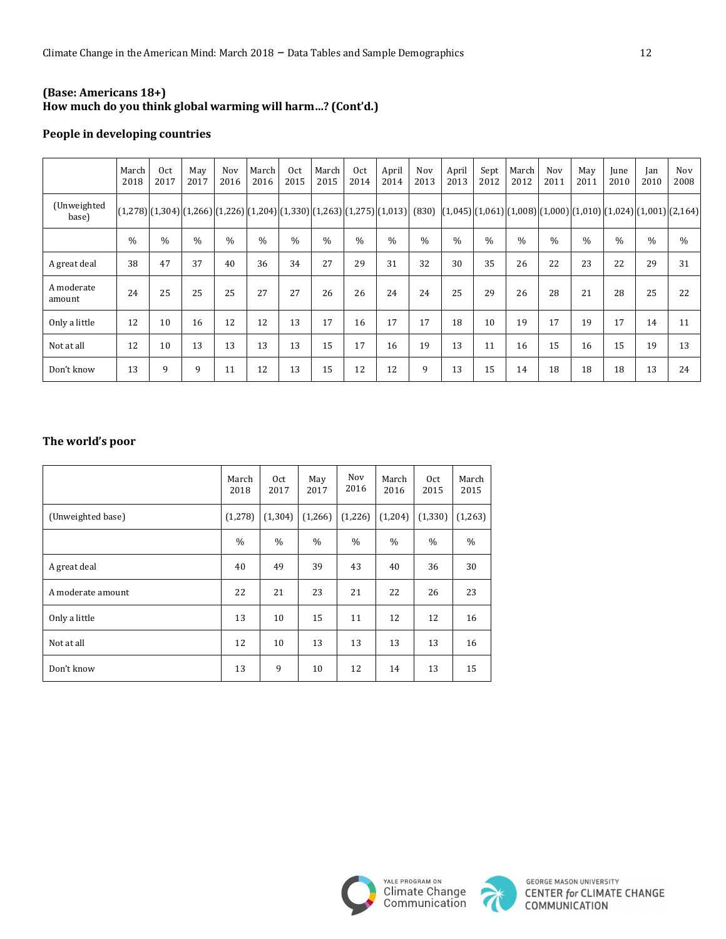### **(Base: Americans 18+) How much do you think global warming will harm…? (Cont'd.)**

### **People in developing countries**

|                      | March<br>2018 | Oct<br>2017 | May<br>2017                                                              | Nov<br>2016   | March<br>2016 | Oct<br>2015 | March<br>2015 | Oct<br>2014 | April<br>2014 | Nov<br>2013 | April<br>2013                                                                   | Sept<br>2012  | March<br>2012 | Nov<br>2011 | May<br>2011 | June<br>2010 | Ian<br>2010 | Nov<br>2008   |
|----------------------|---------------|-------------|--------------------------------------------------------------------------|---------------|---------------|-------------|---------------|-------------|---------------|-------------|---------------------------------------------------------------------------------|---------------|---------------|-------------|-------------|--------------|-------------|---------------|
| (Unweighted<br>base) |               |             | $[(1,278)][1,304][1,266][1,226][1,204][1,330][1,263][1,275][1,013][630]$ |               |               |             |               |             |               |             | $(1,045)$ $(1,061)$ $(1,008)$ $(1,000)$ $(1,010)$ $(1,024)$ $(1,001)$ $(2,164)$ |               |               |             |             |              |             |               |
|                      | $\frac{0}{0}$ | $\%$        | $\%$                                                                     | $\frac{0}{0}$ | $\%$          | $\%$        | $\frac{0}{0}$ | $\%$        | $\%$          | $\%$        | $\%$                                                                            | $\frac{0}{0}$ | $\%$          | $\%$        | $\%$        | $\%$         | $\%$        | $\frac{0}{0}$ |
| A great deal         | 38            | 47          | 37                                                                       | 40            | 36            | 34          | 27            | 29          | 31            | 32          | 30                                                                              | 35            | 26            | 22          | 23          | 22           | 29          | 31            |
| A moderate<br>amount | 24            | 25          | 25                                                                       | 25            | 27            | 27          | 26            | 26          | 24            | 24          | 25                                                                              | 29            | 26            | 28          | 21          | 28           | 25          | 22            |
| Only a little        | 12            | 10          | 16                                                                       | 12            | 12            | 13          | 17            | 16          | 17            | 17          | 18                                                                              | 10            | 19            | 17          | 19          | 17           | 14          | 11            |
| Not at all           | 12            | 10          | 13                                                                       | 13            | 13            | 13          | 15            | 17          | 16            | 19          | 13                                                                              | 11            | 16            | 15          | 16          | 15           | 19          | 13            |
| Don't know           | 13            | 9           | 9                                                                        | 11            | 12            | 13          | 15            | 12          | 12            | 9           | 13                                                                              | 15            | 14            | 18          | 18          | 18           | 13          | 24            |

## The world's poor

|                   | March<br>2018 | Oct<br>2017   | May<br>2017   | Nov<br>2016 | March<br>2016 | Oct<br>2015 | March<br>2015 |
|-------------------|---------------|---------------|---------------|-------------|---------------|-------------|---------------|
| (Unweighted base) | (1,278)       | (1, 304)      | (1,266)       | (1,226)     | (1,204)       | (1, 330)    | (1,263)       |
|                   | $\frac{0}{0}$ | $\frac{0}{0}$ | $\frac{0}{0}$ | $\%$        | $\%$          | $\%$        | $\%$          |
| A great deal      | 40            | 49            | 39            | 43          | 40            | 36          | 30            |
| A moderate amount | 22            | 21            | 23            | 21          | 22            | 26          | 23            |
| Only a little     | 13            | 10            | 15            | 11          | 12            | 12          | 16            |
| Not at all        | 12            | 10            | 13            | 13          | 13            | 13          | 16            |
| Don't know        | 13            | 9             | 10            | 12          | 14            | 13          | 15            |



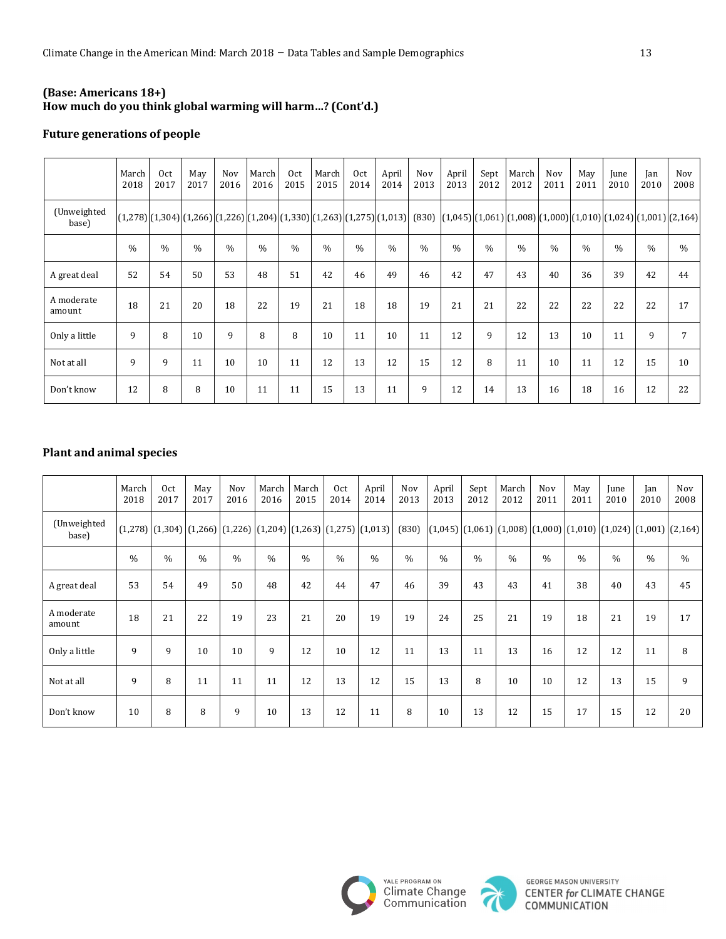### **(Base: Americans 18+) How much do you think global warming will harm…? (Cont'd.)**

### **Future generations of people**

|                      | March<br>2018 | Oct<br>2017   | May<br>2017 | Nov<br>2016  | March<br>2016 | Oct<br>2015   | March<br>2015 | Oct<br>2014 | April<br>2014 | Nov<br>2013 | April<br>2013 | Sept<br>2012  | March<br>2012 | Nov<br>2011 | May<br>2011 | June<br>2010 | Ian<br>2010 | Nov<br>2008                                                                                                                                             |
|----------------------|---------------|---------------|-------------|--------------|---------------|---------------|---------------|-------------|---------------|-------------|---------------|---------------|---------------|-------------|-------------|--------------|-------------|---------------------------------------------------------------------------------------------------------------------------------------------------------|
| (Unweighted<br>base) |               |               |             |              |               |               |               |             |               |             |               |               |               |             |             |              |             | $[(1,278)](1,304)[(1,266)](1,226)](1,204)[(1,330)](1,263)[(1,275)](1,013)]$ $(830)$ $[(1,045)](1,061)[(1,008)](1,000)](1,010)[(1,024)](1,001)[(2,164)]$ |
|                      | $\frac{0}{0}$ | $\frac{0}{0}$ | $\%$        | $\%$         | $\frac{0}{0}$ | $\frac{0}{0}$ | $\frac{0}{0}$ | $\%$        | $\%$          | $\%$        | $\frac{0}{0}$ | $\frac{0}{0}$ | $\frac{0}{0}$ | $\%$        | $\%$        | $\%$         | $\%$        | $\%$                                                                                                                                                    |
| A great deal         | 52            | 54            | 50          | 53           | 48            | 51            | 42            | 46          | 49            | 46          | 42            | 47            | 43            | 40          | 36          | 39           | 42          | 44                                                                                                                                                      |
| A moderate<br>amount | 18            | 21            | 20          | 18           | 22            | 19            | 21            | 18          | 18            | 19          | 21            | 21            | 22            | 22          | 22          | 22           | 22          | 17                                                                                                                                                      |
| Only a little        | 9             | 8             | 10          | $\mathbf{q}$ | 8             | 8             | 10            | 11          | 10            | 11          | 12            | 9             | 12            | 13          | 10          | 11           | 9           | 7                                                                                                                                                       |
| Not at all           | 9             | 9             | 11          | 10           | 10            | 11            | 12            | 13          | 12            | 15          | 12            | 8             | 11            | 10          | 11          | 12           | 15          | 10                                                                                                                                                      |
| Don't know           | 12            | 8             | 8           | 10           | 11            | 11            | 15            | 13          | 11            | 9           | 12            | 14            | 13            | 16          | 18          | 16           | 12          | 22                                                                                                                                                      |

## **Plant and animal species**

|                      | March<br>2018 | Oct<br>2017                                                                     | May<br>2017   | <b>Nov</b><br>2016 | March<br>2016 | March<br>2015 | Oct<br>2014   | April<br>2014 | Nov<br>2013   | April<br>2013 | Sept<br>2012  | March<br>2012 | <b>Nov</b><br>2011 | May<br>2011                                                                                                                   | June<br>2010  | Jan<br>2010   | <b>Nov</b><br>2008 |
|----------------------|---------------|---------------------------------------------------------------------------------|---------------|--------------------|---------------|---------------|---------------|---------------|---------------|---------------|---------------|---------------|--------------------|-------------------------------------------------------------------------------------------------------------------------------|---------------|---------------|--------------------|
| (Unweighted<br>base) |               | $(1,278)$ $(1,304)$ $(1,266)$ $(1,226)$ $(1,204)$ $(1,263)$ $(1,275)$ $(1,013)$ |               |                    |               |               |               |               | (830)         |               |               |               |                    | $\left[ (1,045) \right] (1,061) \left[ (1,008) \right] (1,000) \left[ (1,010) \right] (1,024) \left[ (1,001) \right] (2,164)$ |               |               |                    |
|                      | $\frac{0}{0}$ | $\frac{0}{0}$                                                                   | $\frac{0}{0}$ | $\%$               | $\%$          | $\frac{0}{0}$ | $\frac{0}{0}$ | $\frac{0}{0}$ | $\frac{0}{0}$ | $\frac{0}{0}$ | $\frac{0}{0}$ | $\frac{0}{0}$ | $\frac{0}{0}$      | $\frac{0}{0}$                                                                                                                 | $\frac{0}{0}$ | $\frac{0}{0}$ | $\frac{0}{0}$      |
| A great deal         | 53            | 54                                                                              | 49            | 50                 | 48            | 42            | 44            | 47            | 46            | 39            | 43            | 43            | 41                 | 38                                                                                                                            | 40            | 43            | 45                 |
| A moderate<br>amount | 18            | 21                                                                              | 22            | 19                 | 23            | 21            | 20            | 19            | 19            | 24            | 25            | 21            | 19                 | 18                                                                                                                            | 21            | 19            | 17                 |
| Only a little        | 9             | 9                                                                               | 10            | 10                 | 9             | 12            | 10            | 12            | 11            | 13            | 11            | 13            | 16                 | 12                                                                                                                            | 12            | 11            | 8                  |
| Not at all           | 9             | 8                                                                               | 11            | 11                 | 11            | 12            | 13            | 12            | 15            | 13            | 8             | 10            | 10                 | 12                                                                                                                            | 13            | 15            | 9                  |
| Don't know           | 10            | 8                                                                               | 8             | 9                  | 10            | 13            | 12            | 11            | 8             | 10            | 13            | 12            | 15                 | 17                                                                                                                            | 15            | 12            | 20                 |



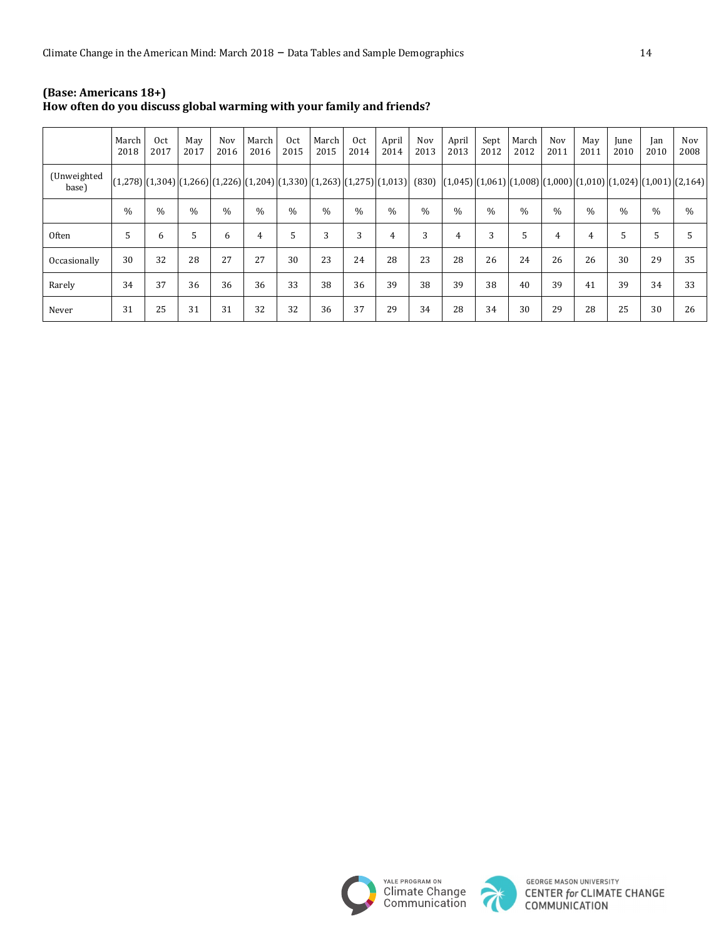|                      | March<br>2018 | 0 <sub>ct</sub><br>2017 | May<br>2017   | <b>Nov</b><br>2016 | March<br>2016 | Oct<br>2015   | March<br>2015 | Oct<br>2014   | April<br>2014  | Nov<br>2013 | April<br>2013 | Sept<br>2012  | March<br>2012 | Nov<br>2011    | May<br>2011   | June<br>2010 | Jan<br>2010                                                                                                                                              | <b>Nov</b><br>2008 |
|----------------------|---------------|-------------------------|---------------|--------------------|---------------|---------------|---------------|---------------|----------------|-------------|---------------|---------------|---------------|----------------|---------------|--------------|----------------------------------------------------------------------------------------------------------------------------------------------------------|--------------------|
| (Unweighted<br>base) |               |                         |               |                    |               |               |               |               |                |             |               |               |               |                |               |              | (1,206) (1,304) (1,206) (1,226) (1,2204) (1,330) (1,263) (1,275) (1,013)  (830)  (1,045) (1,061) (1,008) (1,000) (1,010) (1,024) (1,024) (1,001) (2,164) |                    |
|                      | $\frac{0}{0}$ | $\frac{0}{0}$           | $\frac{0}{0}$ | $\frac{0}{0}$      | $\frac{0}{0}$ | $\frac{0}{0}$ | $\frac{0}{0}$ | $\frac{0}{0}$ | $\frac{0}{0}$  | $\%$        | $\frac{0}{0}$ | $\frac{0}{0}$ | $\%$          | $\frac{0}{0}$  | $\frac{0}{0}$ | $\%$         | $\%$                                                                                                                                                     | $\%$               |
| Often                | 5             | 6                       | 5             | 6                  | 4             | 5             | 3             | 3             | $\overline{4}$ | 3           | 4             | 3             | 5             | $\overline{4}$ | 4             | 5            | 5                                                                                                                                                        | 5                  |
| Occasionally         | 30            | 32                      | 28            | 27                 | 27            | 30            | 23            | 24            | 28             | 23          | 28            | 26            | 24            | 26             | 26            | 30           | 29                                                                                                                                                       | 35                 |
| Rarely               | 34            | 37                      | 36            | 36                 | 36            | 33            | 38            | 36            | 39             | 38          | 39            | 38            | 40            | 39             | 41            | 39           | 34                                                                                                                                                       | 33                 |
| Never                | 31            | 25                      | 31            | 31                 | 32            | 32            | 36            | 37            | 29             | 34          | 28            | 34            | 30            | 29             | 28            | 25           | 30                                                                                                                                                       | 26                 |

#### **(Base: Americans 18+) How often do you discuss global warming with your family and friends?**





**GEORGE MASON UNIVERSITY CENTER for CLIMATE CHANGE**<br>COMMUNICATION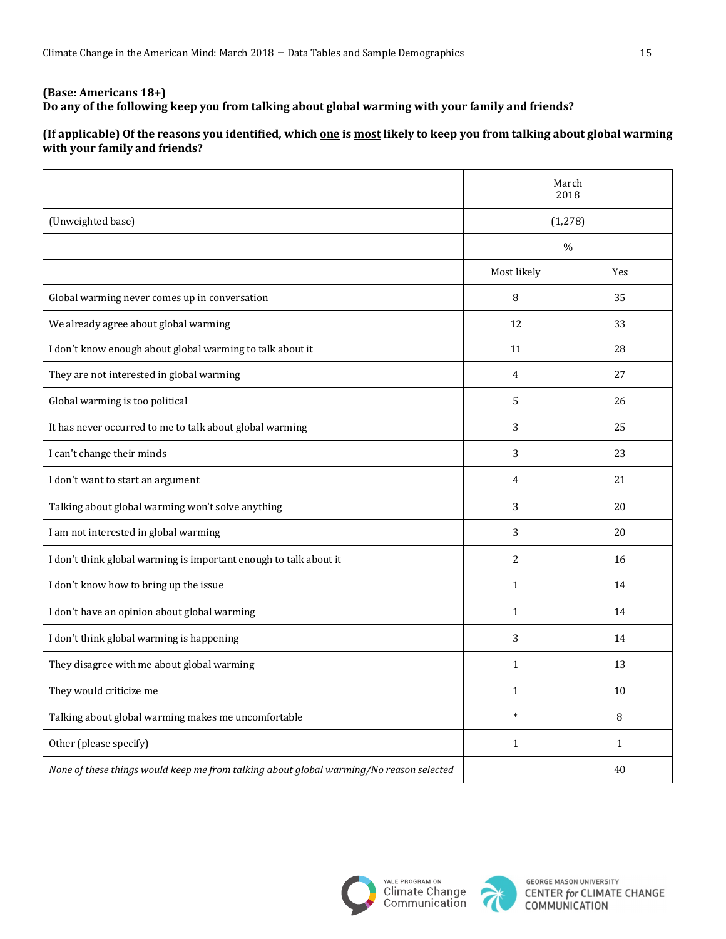## **(Base: Americans 18+)** Do any of the following keep you from talking about global warming with your family and friends?

# (If applicable) Of the reasons you identified, which <u>one</u> is most likely to keep you from talking about global warming **with your family and friends?**

|                                                                                         |                | March<br>2018 |  |  |  |  |
|-----------------------------------------------------------------------------------------|----------------|---------------|--|--|--|--|
| (Unweighted base)                                                                       | (1, 278)       |               |  |  |  |  |
|                                                                                         |                | $\%$          |  |  |  |  |
|                                                                                         | Most likely    | Yes           |  |  |  |  |
| Global warming never comes up in conversation                                           | 8              | 35            |  |  |  |  |
| We already agree about global warming                                                   | 12             | 33            |  |  |  |  |
| I don't know enough about global warming to talk about it                               | 11             | 28            |  |  |  |  |
| They are not interested in global warming                                               | $\overline{4}$ | 27            |  |  |  |  |
| Global warming is too political                                                         | 5              | 26            |  |  |  |  |
| It has never occurred to me to talk about global warming                                | 3              | 25            |  |  |  |  |
| I can't change their minds                                                              | 3              | 23            |  |  |  |  |
| I don't want to start an argument                                                       | $\overline{4}$ | 21            |  |  |  |  |
| Talking about global warming won't solve anything                                       | 3              | 20            |  |  |  |  |
| I am not interested in global warming                                                   | 3              | 20            |  |  |  |  |
| I don't think global warming is important enough to talk about it                       | $\overline{c}$ | 16            |  |  |  |  |
| I don't know how to bring up the issue                                                  | $\mathbf{1}$   | 14            |  |  |  |  |
| I don't have an opinion about global warming                                            | $\mathbf{1}$   | 14            |  |  |  |  |
| I don't think global warming is happening                                               | 3              | 14            |  |  |  |  |
| They disagree with me about global warming                                              | $\mathbf{1}$   | 13            |  |  |  |  |
| They would criticize me                                                                 | $\mathbf{1}$   | 10            |  |  |  |  |
| Talking about global warming makes me uncomfortable                                     | $\ast$         | 8             |  |  |  |  |
| Other (please specify)                                                                  | $\mathbf{1}$   | $\mathbf{1}$  |  |  |  |  |
| None of these things would keep me from talking about global warming/No reason selected |                | 40            |  |  |  |  |



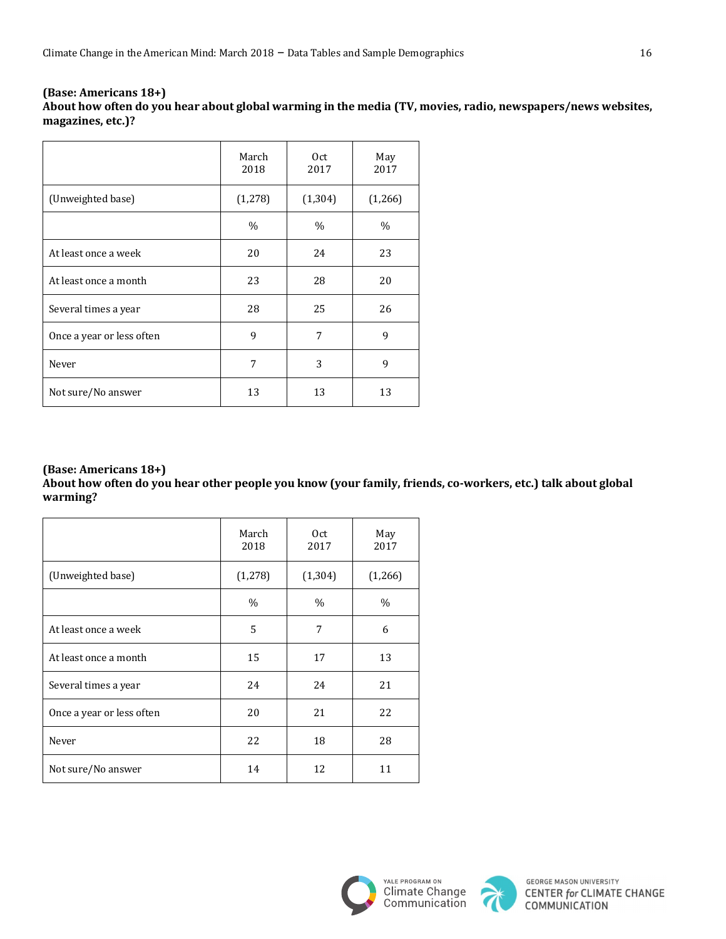| (Base: Americans 18+)                                                                                       |
|-------------------------------------------------------------------------------------------------------------|
| About how often do you hear about global warming in the media (TV, movies, radio, newspapers/news websites, |
| magazines, etc.)?                                                                                           |

|                           | March<br>2018 | 0 <sub>ct</sub><br>2017 | May<br>2017 |
|---------------------------|---------------|-------------------------|-------------|
| (Unweighted base)         | (1,278)       | (1, 304)                | (1,266)     |
|                           | $\%$          | $\%$                    | $\%$        |
| At least once a week      | 20            | 24                      | 23          |
| At least once a month     | 23            | 28                      | 20          |
| Several times a year      | 28            | 25                      | 26          |
| Once a year or less often | 9             | 7                       | 9           |
| Never                     | 7             | 3                       | 9           |
| Not sure/No answer        | 13            | 13                      | 13          |

About how often do you hear other people you know (your family, friends, co-workers, etc.) talk about global **warming?**

|                           | March<br>2018 | 0 <sub>ct</sub><br>2017 | May<br>2017 |
|---------------------------|---------------|-------------------------|-------------|
| (Unweighted base)         | (1, 278)      | (1, 304)                | (1,266)     |
|                           | $\%$          | $\%$                    | $\%$        |
| At least once a week      | 5             | 7                       | 6           |
| At least once a month     | 15            | 17                      | 13          |
| Several times a year      | 24            | 24                      | 21          |
| Once a year or less often | 20            | 21                      | 22          |
| Never                     | 22            | 18                      | 28          |
| Not sure/No answer        | 14            | 12                      | 11          |



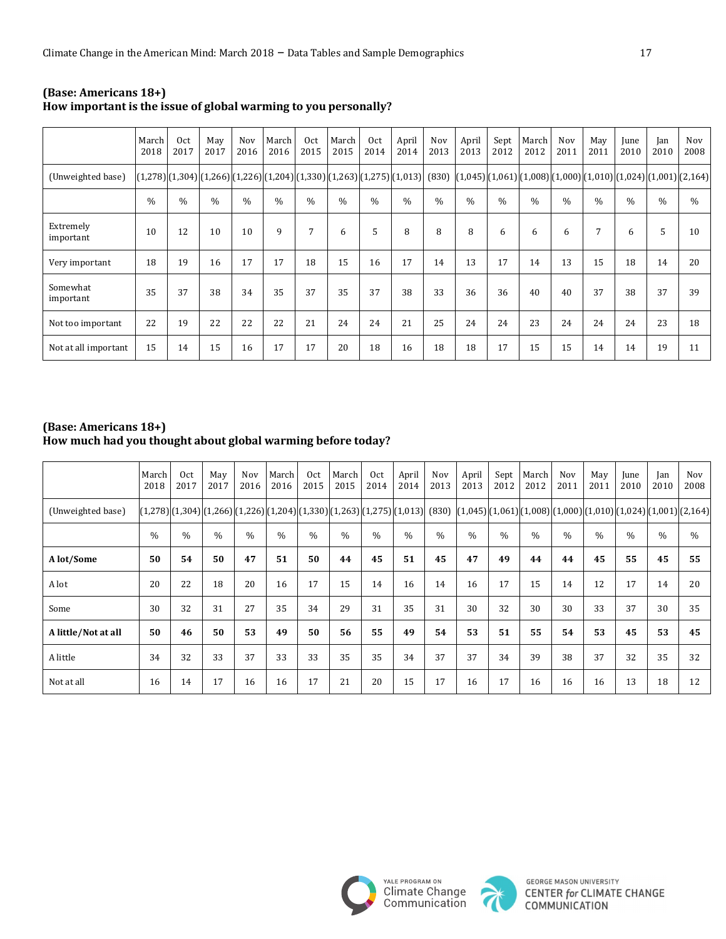|                        | March I<br>2018 | Oct<br>2017   | May<br>2017   | Nov<br>2016   | March<br>2016 | Oct<br>2015 | March<br>2015 | 0 <sub>ct</sub><br>2014 | April<br>2014                                                                             | Nov<br>2013   | April<br>2013 | Sept<br>2012  | March<br>2012 | Nov<br>2011   | May<br>2011   | June<br>2010 | Jan<br>2010   | Nov<br>2008                                                                             |
|------------------------|-----------------|---------------|---------------|---------------|---------------|-------------|---------------|-------------------------|-------------------------------------------------------------------------------------------|---------------|---------------|---------------|---------------|---------------|---------------|--------------|---------------|-----------------------------------------------------------------------------------------|
| (Unweighted base)      |                 |               |               |               |               |             |               |                         | $(1,278)$ $(1,304)$ $(1,266)$ $(1,226)$ $(1,204)$ $(1,330)$ $(1,263)$ $(1,275)$ $(1,013)$ |               |               |               |               |               |               |              |               | $(830)$ $(1,045)$ $(1,061)$ $(1,008)$ $(1,000)$ $(1,010)$ $(1,024)$ $(1,001)$ $(2,164)$ |
|                        | $\frac{0}{0}$   | $\frac{0}{0}$ | $\frac{0}{0}$ | $\frac{0}{0}$ | $\%$          | $\%$        | $\frac{0}{0}$ | $\frac{0}{0}$           | $\%$                                                                                      | $\frac{0}{0}$ | $\%$          | $\frac{0}{0}$ | $\frac{0}{0}$ | $\frac{0}{0}$ | $\frac{0}{0}$ | $\%$         | $\frac{0}{0}$ | $\%$                                                                                    |
| Extremely<br>important | 10              | 12            | 10            | 10            | 9             | 7           | 6             | 5                       | 8                                                                                         | 8             | 8             | 6             | 6             | 6             | 7             | 6            | 5             | 10                                                                                      |
| Very important         | 18              | 19            | 16            | 17            | 17            | 18          | 15            | 16                      | 17                                                                                        | 14            | 13            | 17            | 14            | 13            | 15            | 18           | 14            | 20                                                                                      |
| Somewhat<br>important  | 35              | 37            | 38            | 34            | 35            | 37          | 35            | 37                      | 38                                                                                        | 33            | 36            | 36            | 40            | 40            | 37            | 38           | 37            | 39                                                                                      |
| Not too important      | 22              | 19            | 22            | 22            | 22            | 21          | 24            | 24                      | 21                                                                                        | 25            | 24            | 24            | 23            | 24            | 24            | 24           | 23            | 18                                                                                      |
| Not at all important   | 15              | 14            | 15            | 16            | 17            | 17          | 20            | 18                      | 16                                                                                        | 18            | 18            | 17            | 15            | 15            | 14            | 14           | 19            | 11                                                                                      |

#### **(Base: Americans 18+)** How important is the issue of global warming to you personally?

### **(Base: Americans 18+)** How much had you thought about global warming before today?

|                     | March<br>2018 | 0 <sub>ct</sub><br>2017                                                  | May<br>2017 | Nov<br>2016 | March<br>2016 | Oct<br>2015   | March<br>2015 | Oct<br>2014   | April<br>2014 | <b>Nov</b><br>2013 | April<br>2013 | Sept<br>2012  | March<br>2012                                                | <b>Nov</b><br>2011 | May<br>2011   | June<br>2010 | Jan<br>2010   | Nov<br>2008   |
|---------------------|---------------|--------------------------------------------------------------------------|-------------|-------------|---------------|---------------|---------------|---------------|---------------|--------------------|---------------|---------------|--------------------------------------------------------------|--------------------|---------------|--------------|---------------|---------------|
| (Unweighted base)   |               | $[(1,278)][1,304][1,266][1,226][1,204][1,330][1,263][1,275][1,013][830]$ |             |             |               |               |               |               |               |                    |               |               | $[(1,045)][1,061][1,008][1,000][1,010][1,024][1,001][2,164]$ |                    |               |              |               |               |
|                     | $\frac{0}{0}$ | $\%$                                                                     | $\%$        | $\%$        | $\%$          | $\frac{0}{0}$ | $\frac{0}{0}$ | $\frac{0}{0}$ | $\%$          | $\frac{0}{0}$      | $\frac{0}{0}$ | $\frac{0}{0}$ | $\frac{0}{0}$                                                | $\%$               | $\frac{0}{0}$ | $\%$         | $\frac{0}{0}$ | $\frac{0}{0}$ |
| A lot/Some          | 50            | 54                                                                       | 50          | 47          | 51            | 50            | 44            | 45            | 51            | 45                 | 47            | 49            | 44                                                           | 44                 | 45            | 55           | 45            | 55            |
| A lot               | 20            | 22                                                                       | 18          | 20          | 16            | 17            | 15            | 14            | 16            | 14                 | 16            | 17            | 15                                                           | 14                 | 12            | 17           | 14            | 20            |
| Some                | 30            | 32                                                                       | 31          | 27          | 35            | 34            | 29            | 31            | 35            | 31                 | 30            | 32            | 30                                                           | 30                 | 33            | 37           | 30            | 35            |
| A little/Not at all | 50            | 46                                                                       | 50          | 53          | 49            | 50            | 56            | 55            | 49            | 54                 | 53            | 51            | 55                                                           | 54                 | 53            | 45           | 53            | 45            |
| A little            | 34            | 32                                                                       | 33          | 37          | 33            | 33            | 35            | 35            | 34            | 37                 | 37            | 34            | 39                                                           | 38                 | 37            | 32           | 35            | 32            |
| Not at all          | 16            | 14                                                                       | 17          | 16          | 16            | 17            | 21            | 20            | 15            | 17                 | 16            | 17            | 16                                                           | 16                 | 16            | 13           | 18            | 12            |



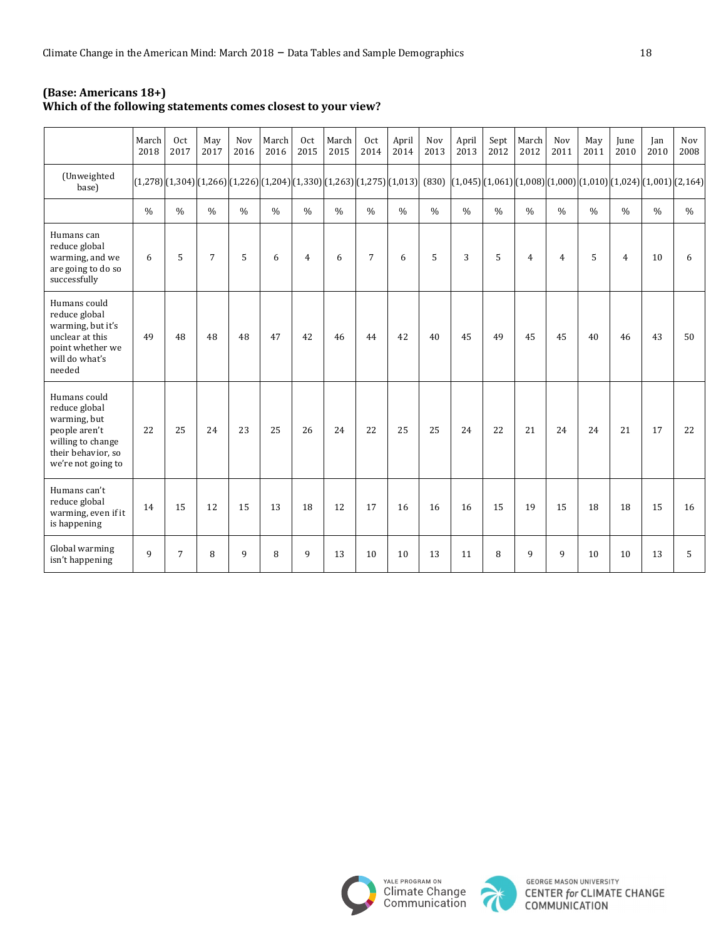| (Base: Americans 18+)                                         |
|---------------------------------------------------------------|
| Which of the following statements comes closest to your view? |

|                                                                                                                                 | March<br>2018 | 0 <sub>ct</sub><br>2017 | May<br>2017    | Nov<br>2016   | March<br>2016 | 0 <sub>ct</sub><br>2015 | March<br>2015                                                                                                                         | 0 <sub>ct</sub><br>2014 | April<br>2014 | Nov<br>2013   | April<br>2013 | Sept<br>2012  | March<br>2012  | Nov<br>2011    | May<br>2011   | June<br>2010   | Jan<br>2010   | Nov<br>2008   |
|---------------------------------------------------------------------------------------------------------------------------------|---------------|-------------------------|----------------|---------------|---------------|-------------------------|---------------------------------------------------------------------------------------------------------------------------------------|-------------------------|---------------|---------------|---------------|---------------|----------------|----------------|---------------|----------------|---------------|---------------|
| (Unweighted<br>base)                                                                                                            |               |                         |                |               |               |                         | (1,278)(1,304)(1,266)(1,226)(1,224)(1,330)(1,263)(1,275)(1,013)(830) (1,045)(1,061)(1,008)(1,000)(1,010)(1,024)(1,024)(1,001)(2,164)( |                         |               |               |               |               |                |                |               |                |               |               |
|                                                                                                                                 | $\frac{0}{0}$ | $\frac{0}{0}$           | $\frac{0}{0}$  | $\frac{0}{0}$ | $\frac{0}{0}$ | $\frac{0}{0}$           | $\frac{0}{0}$                                                                                                                         | $\frac{0}{0}$           | $\frac{0}{0}$ | $\frac{0}{0}$ | $\frac{0}{0}$ | $\frac{0}{0}$ | $\%$           | $\frac{0}{0}$  | $\frac{0}{0}$ | $\frac{0}{0}$  | $\frac{0}{0}$ | $\frac{0}{0}$ |
| Humans can<br>reduce global<br>warming, and we<br>are going to do so<br>successfully                                            | 6             | 5                       | $\overline{7}$ | 5             | 6             | $\overline{4}$          | 6                                                                                                                                     | $\overline{7}$          | 6             | 5             | 3             | 5             | $\overline{4}$ | $\overline{4}$ | 5             | $\overline{4}$ | 10            | 6             |
| Humans could<br>reduce global<br>warming, but it's<br>unclear at this<br>point whether we<br>will do what's<br>needed           | 49            | 48                      | 48             | 48            | 47            | 42                      | 46                                                                                                                                    | 44                      | 42            | 40            | 45            | 49            | 45             | 45             | 40            | 46             | 43            | 50            |
| Humans could<br>reduce global<br>warming, but<br>people aren't<br>willing to change<br>their behavior, so<br>we're not going to | 22            | 25                      | 24             | 23            | 25            | 26                      | 24                                                                                                                                    | 22                      | 25            | 25            | 24            | 22            | 21             | 24             | 24            | 21             | 17            | 22            |
| Humans can't<br>reduce global<br>warming, even if it<br>is happening                                                            | 14            | 15                      | 12             | 15            | 13            | 18                      | 12                                                                                                                                    | 17                      | 16            | 16            | 16            | 15            | 19             | 15             | 18            | 18             | 15            | 16            |
| Global warming<br>isn't happening                                                                                               | 9             | $\overline{7}$          | 8              | 9             | 8             | 9                       | 13                                                                                                                                    | 10                      | 10            | 13            | 11            | 8             | 9              | 9              | 10            | 10             | 13            | 5             |



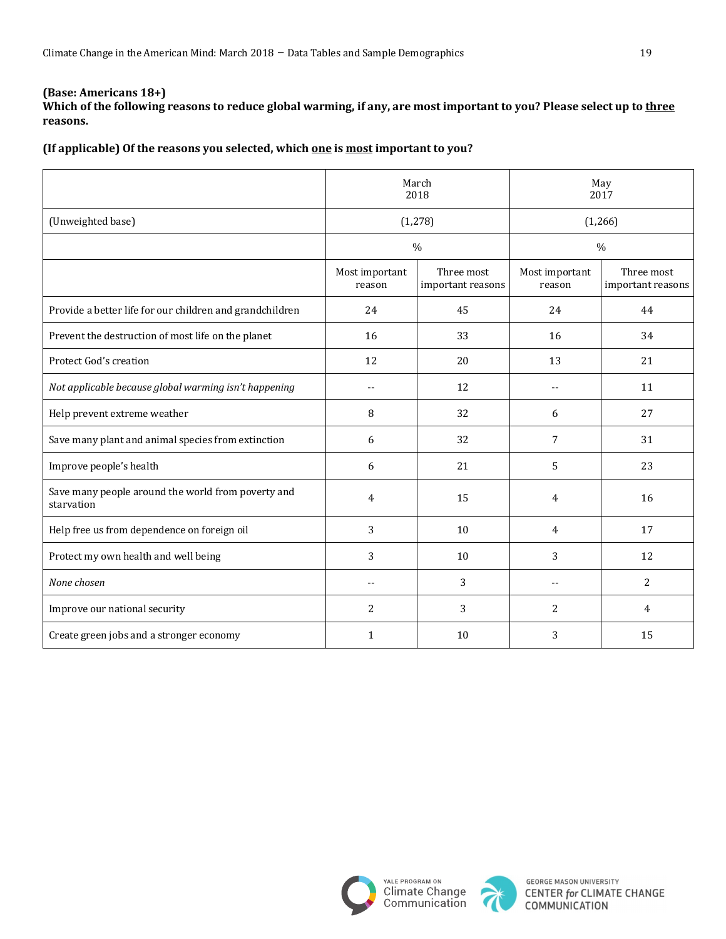Which of the following reasons to reduce global warming, if any, are most important to you? Please select up to three **reasons.**

(If applicable) Of the reasons you selected, which one is most important to you?

|                                                                  |                          | March<br>2018                   |                            | May<br>2017                     |
|------------------------------------------------------------------|--------------------------|---------------------------------|----------------------------|---------------------------------|
| (Unweighted base)                                                | (1, 278)                 |                                 | (1,266)                    |                                 |
|                                                                  |                          | $\frac{0}{0}$                   |                            | $\%$                            |
|                                                                  | Most important<br>reason | Three most<br>important reasons | Most important<br>reason   | Three most<br>important reasons |
| Provide a better life for our children and grandchildren         | 24                       | 45                              | 24                         | 44                              |
| Prevent the destruction of most life on the planet               | 16                       | 33                              | 16                         | 34                              |
| Protect God's creation                                           | 12                       | 20                              | 13                         | 21                              |
| Not applicable because global warming isn't happening            | --                       | 12                              | $-$                        | 11                              |
| Help prevent extreme weather                                     | 8                        | 32                              | 6                          | 27                              |
| Save many plant and animal species from extinction               | 6                        | 32                              | 7                          | 31                              |
| Improve people's health                                          | 6                        | 21                              | 5                          | 23                              |
| Save many people around the world from poverty and<br>starvation | 4                        | 15                              | 4                          | 16                              |
| Help free us from dependence on foreign oil                      | 3                        | 10                              | 4                          | 17                              |
| Protect my own health and well being                             | 3                        | 10                              | 3                          | 12                              |
| None chosen                                                      | $-$                      | 3                               | $\overline{\phantom{a}}$ . | 2                               |
| Improve our national security                                    | 2                        | 3                               | $\overline{2}$             | 4                               |
| Create green jobs and a stronger economy                         | 1                        | 10                              | 3                          | 15                              |



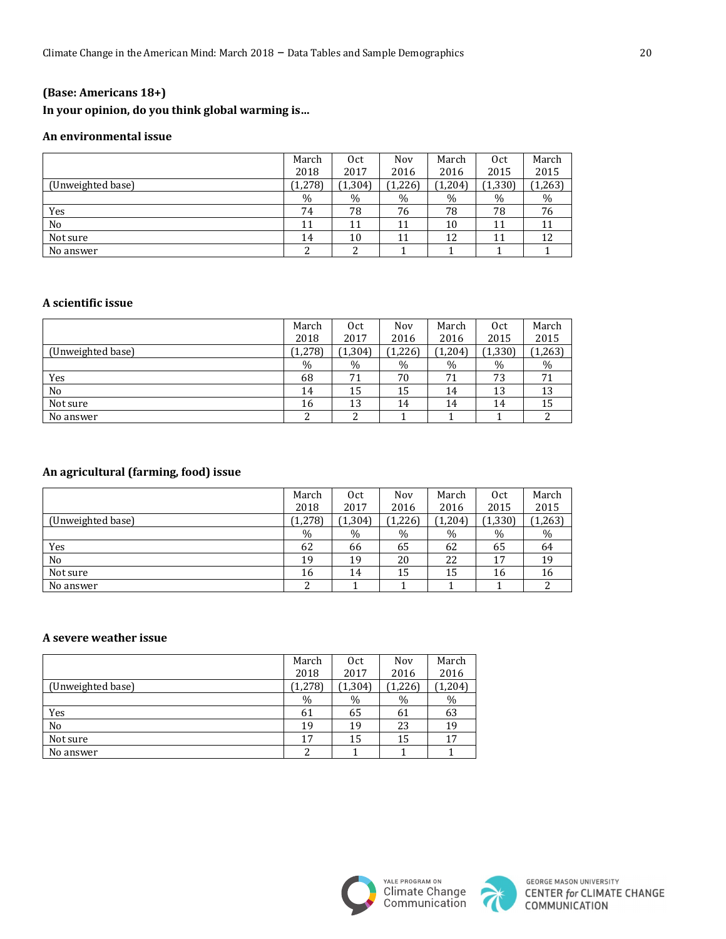### In your opinion, do you think global warming is...

### **An environmental issue**

|                   | March   | 0 <sub>ct</sub> | Nov     | March   | Oct      | March |
|-------------------|---------|-----------------|---------|---------|----------|-------|
|                   | 2018    | 2017            | 2016    | 2016    | 2015     | 2015  |
| (Unweighted base) | (1,278) | (1, 304)        | (1,226) | (1,204) | (1, 330) | 1,263 |
|                   | $\%$    | $\%$            | $\%$    | %       | $\%$     | $\%$  |
| Yes               | 74      | 78              | 76      | 78      | 78       | 76    |
| No                | 11      | 11              | 11      | 10      | 11       | 11    |
| Not sure          | 14      | 10              | 11      | 12      | 11       | 12    |
| No answer         | ▵       | ∠               |         |         |          |       |

#### **A scientific issue**

|                   | March   | 0 <sub>ct</sub> | Nov     | March   | Oct      | March |
|-------------------|---------|-----------------|---------|---------|----------|-------|
|                   | 2018    | 2017            | 2016    | 2016    | 2015     | 2015  |
| (Unweighted base) | (1,278) | (1, 304)        | (1,226) | (1,204) | (1, 330) | 1,263 |
|                   | $\%$    | $\%$            | $\%$    | $\%$    | $\%$     | $\%$  |
| Yes               | 68      | 71              | 70      | 71      | 73       | 71    |
| No                | 14      | 15              | 15      | 14      | 13       | 13    |
| Not sure          | 16      | 13              | 14      | 14      | 14       | 15    |
| No answer         |         | າ<br>∠          |         |         |          |       |

### **An agricultural (farming, food) issue**

|                   | March   | 0 <sub>ct</sub> | Nov     | March   | 0 <sub>ct</sub> | March    |
|-------------------|---------|-----------------|---------|---------|-----------------|----------|
|                   | 2018    | 2017            | 2016    | 2016    | 2015            | 2015     |
| (Unweighted base) | (1,278) | (1, 304)        | (1,226) | (1,204) | (1, 330)        | (1, 263) |
|                   | $\%$    | $\%$            | $\%$    | %       | $\%$            | $\%$     |
| Yes               | 62      | 66              | 65      | 62      | 65              | 64       |
| No                | 19      | 19              | 20      | 22      | 17              | 19       |
| Not sure          | 16      | 14              | 15      | 15      | 16              | 16       |
| No answer         | ົ<br>▵  |                 |         |         |                 |          |

#### **A severe weather issue**

|                   | March   | 0 <sub>ct</sub> | Nov     | March    |
|-------------------|---------|-----------------|---------|----------|
|                   | 2018    | 2017            | 2016    | 2016     |
| (Unweighted base) | (1,278) | (1, 304)        | (1,226) | (1, 204) |
|                   | %       | $\%$            | %       | %        |
| Yes               | 61      | 65              | 61      | 63       |
| N <sub>o</sub>    | 19      | 19              | 23      | 19       |
| Not sure          | 17      | 15              | 15      | 17       |
| No answer         |         |                 |         |          |



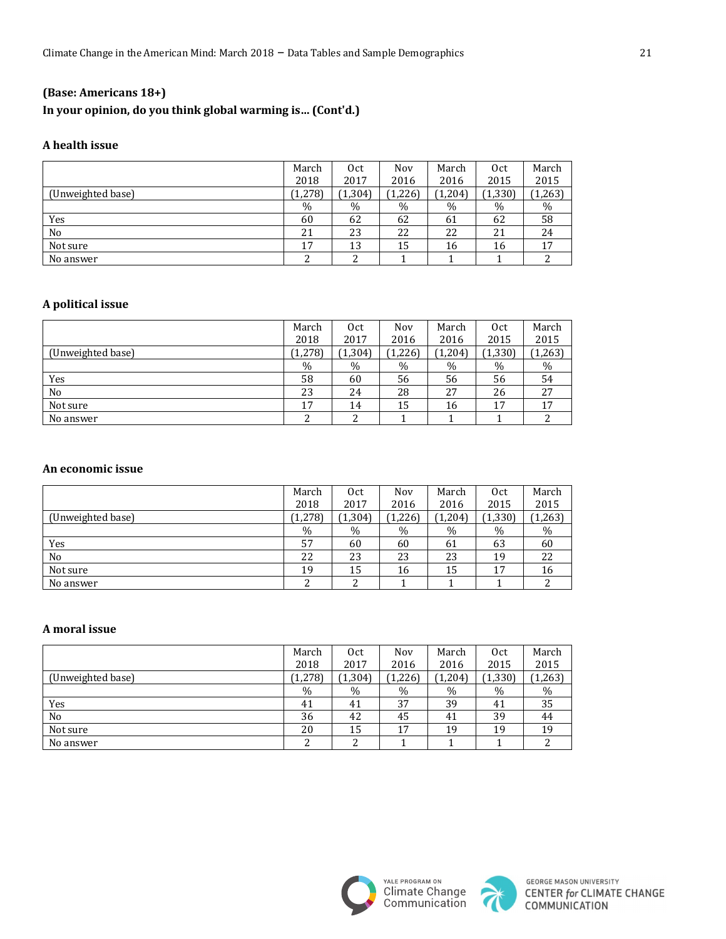# **(Base: Americans 18+)** In your opinion, do you think global warming is... (Cont'd.)

#### **A health issue**

|                   | March   | Oct      | Nov     | March   | Oct      | March    |
|-------------------|---------|----------|---------|---------|----------|----------|
|                   | 2018    | 2017     | 2016    | 2016    | 2015     | 2015     |
| (Unweighted base) | (1,278) | (1, 304) | (1,226) | (1,204) | (1, 330) | (1, 263) |
|                   | $\%$    | $\%$     | $\%$    | $\%$    | $\%$     | %        |
| Yes               | 60      | 62       | 62      | 61      | 62       | 58       |
| N <sub>o</sub>    | 21      | 23       | 22      | 22      | 21       | 24       |
| Not sure          | 17      | 13       | 15      | 16      | 16       | 17       |
| No answer         |         |          |         |         |          |          |

#### **A political issue**

|                   | March   | 0 <sub>ct</sub> | Nov     | March | Oct      | March    |
|-------------------|---------|-----------------|---------|-------|----------|----------|
|                   | 2018    | 2017            | 2016    | 2016  | 2015     | 2015     |
| (Unweighted base) | (1,278) | (1, 304)        | (1,226) | 1,204 | (1, 330) | (1, 263) |
|                   | $\%$    | $\%$            | $\%$    | $\%$  | $\%$     | $\%$     |
| Yes               | 58      | 60              | 56      | 56    | 56       | 54       |
| No                | 23      | 24              | 28      | 27    | 26       | 27       |
| Not sure          | 17      | 14              | 15      | 16    | 17       | 17       |
| No answer         |         | າ               |         |       |          |          |

#### **An economic issue**

|                   | March   | Oct      | Nov     | March | 0 <sub>ct</sub> | March |
|-------------------|---------|----------|---------|-------|-----------------|-------|
|                   | 2018    | 2017     | 2016    | 2016  | 2015            | 2015  |
| (Unweighted base) | (1,278) | (1, 304) | (1,226) | 1,204 | (1, 330)        | 1,263 |
|                   | $\%$    | $\%$     | $\%$    | $\%$  | $\%$            | %     |
| Yes               | 57      | 60       | 60      | 61    | 63              | 60    |
| No                | 22      | 23       | 23      | 23    | 19              | 22    |
| Not sure          | 19      | 15       | 16      | 15    | 17              | 16    |
| No answer         |         | າ        |         |       |                 |       |

#### **A moral issue**

|                   | March   | 0 <sub>ct</sub> | Nov      | March   | Oct      | March    |
|-------------------|---------|-----------------|----------|---------|----------|----------|
|                   | 2018    | 2017            | 2016     | 2016    | 2015     | 2015     |
| (Unweighted base) | (1,278) | (1, 304)        | (1, 226) | (1,204) | (1, 330) | (1, 263) |
|                   | $\%$    | %               | $\%$     | $\%$    | $\%$     | %        |
| Yes               | 41      | 41              | 37       | 39      | 41       | 35       |
| No                | 36      | 42              | 45       | 41      | 39       | 44       |
| Not sure          | 20      | 15              | 17       | 19      | 19       | 19       |
| No answer         |         | າ<br>∠          |          |         |          |          |



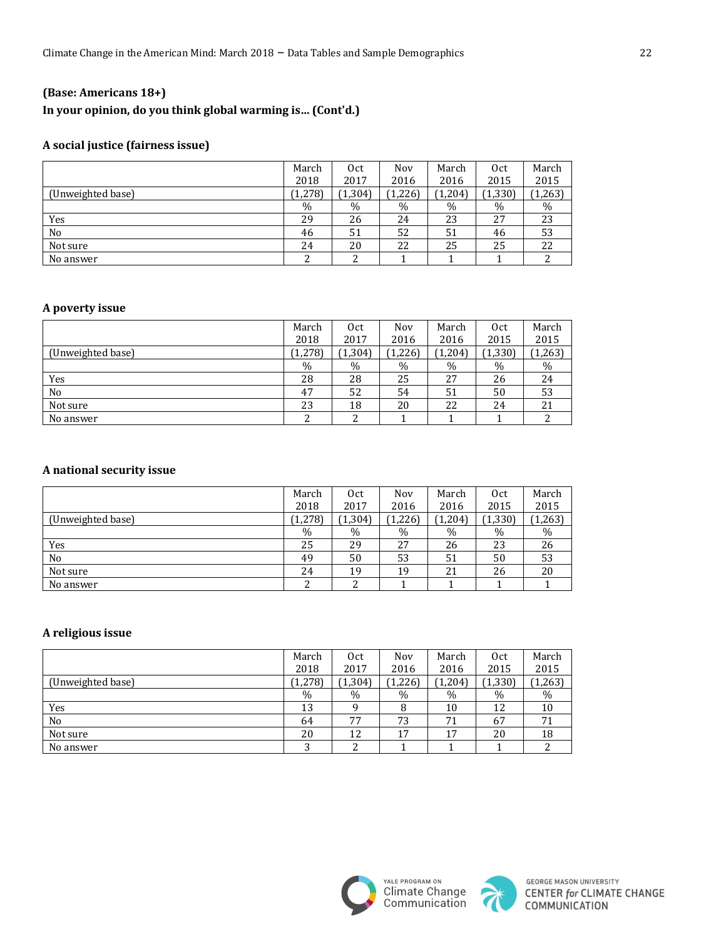# **(Base: Americans 18+)** In your opinion, do you think global warming is... (Cont'd.)

### **A social justice (fairness issue)**

|                   | March   | Oct      | Nov     | March   | Oct      | March    |
|-------------------|---------|----------|---------|---------|----------|----------|
|                   | 2018    | 2017     | 2016    | 2016    | 2015     | 2015     |
| (Unweighted base) | (1,278) | (1, 304) | (1,226) | (1,204) | (1, 330) | (1, 263) |
|                   | $\%$    | $\%$     | $\%$    | $\%$    | $\%$     | $\%$     |
| Yes               | 29      | 26       | 24      | 23      | 27       | 23       |
| N <sub>o</sub>    | 46      | 51       | 52      | 51      | 46       | 53       |
| Not sure          | 24      | 20       | 22      | 25      | 25       | 22       |
| No answer         |         | c        |         |         |          |          |

### **A poverty issue**

|                   | March   | Oct      | Nov     | March   | Oct      | March    |
|-------------------|---------|----------|---------|---------|----------|----------|
|                   | 2018    | 2017     | 2016    | 2016    | 2015     | 2015     |
| (Unweighted base) | (1,278) | (1, 304) | (1,226) | (1,204) | (1, 330) | (1, 263) |
|                   | $\%$    | $\%$     | $\%$    | $\%$    | $\%$     | %        |
| Yes               | 28      | 28       | 25      | 27      | 26       | 24       |
| No                | 47      | 52       | 54      | 51      | 50       | 53       |
| Not sure          | 23      | 18       | 20      | 22      | 24       | 21       |
| No answer         |         | ົ<br>∠   |         |         |          |          |

### **A national security issue**

|                   | March   | 0ct      | Nov     | March   | Oct      | March |
|-------------------|---------|----------|---------|---------|----------|-------|
|                   | 2018    | 2017     | 2016    | 2016    | 2015     | 2015  |
| (Unweighted base) | (1,278) | (1, 304) | (1,226) | (1,204) | (1, 330) | 1,263 |
|                   | $\%$    | $\%$     | $\%$    | $\%$    | $\%$     | $\%$  |
| Yes               | 25      | 29       | 27      | 26      | 23       | 26    |
| No                | 49      | 50       | 53      | 51      | 50       | 53    |
| Not sure          | 24      | 19       | 19      | 21      | 26       | 20    |
| No answer         |         | າ<br>∼   |         |         |          |       |

### **A religious issue**

|                   | March    | Oct      | Nov     | March   | Oct      | March    |
|-------------------|----------|----------|---------|---------|----------|----------|
|                   | 2018     | 2017     | 2016    | 2016    | 2015     | 2015     |
| (Unweighted base) | (1, 278) | (1, 304) | (1,226) | (1,204) | (1, 330) | (1, 263) |
|                   | $\%$     | $\%$     | $\%$    | %       | $\%$     | %        |
| Yes               | 13       | q        | 8       | 10      | 12       | 10       |
| No                | 64       | 77       | 73      | 71      | 67       | 71       |
| Not sure          | 20       | 12       | 17      | 17      | 20       | 18       |
| No answer         | ົ        | 2        |         |         |          |          |



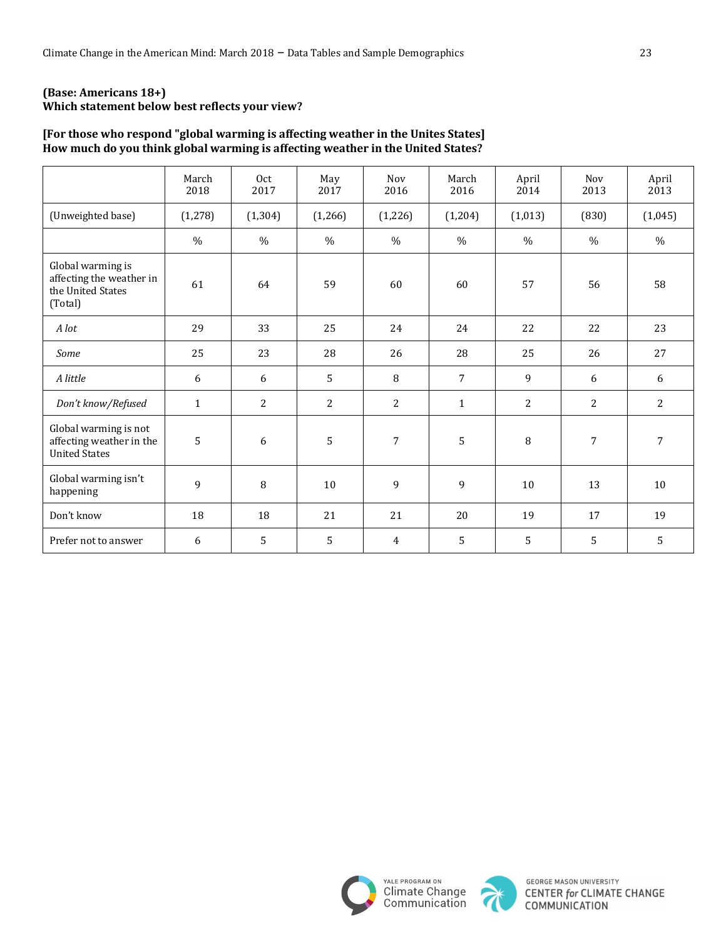### **(Base: Americans 18+)** Which statement below best reflects your view?

### [For those who respond "global warming is affecting weather in the Unites States] How much do you think global warming is affecting weather in the United States?

|                                                                               | March<br>2018 | 0 <sub>ct</sub><br>2017 | May<br>2017    | Nov<br>2016    | March<br>2016 | April<br>2014  | <b>Nov</b><br>2013 | April<br>2013  |
|-------------------------------------------------------------------------------|---------------|-------------------------|----------------|----------------|---------------|----------------|--------------------|----------------|
| (Unweighted base)                                                             | (1, 278)      | (1, 304)                | (1,266)        | (1,226)        | (1,204)       | (1,013)        | (830)              | (1,045)        |
|                                                                               | $\%$          | $\%$                    | $\frac{0}{0}$  | $\%$           | $\%$          | $\%$           | $\%$               | $\%$           |
| Global warming is<br>affecting the weather in<br>the United States<br>(Total) | 61            | 64                      | 59             | 60             | 60            | 57             | 56                 | 58             |
| A lot                                                                         | 29            | 33                      | 25             | 24             | 24            | 22             | 22                 | 23             |
| Some                                                                          | 25            | 23                      | 28             | 26             | 28            | 25             | 26                 | 27             |
| A little                                                                      | 6             | 6                       | 5              | 8              | 7             | 9              | 6                  | 6              |
| Don't know/Refused                                                            | $\mathbf{1}$  | 2                       | $\overline{c}$ | 2              | $\mathbf{1}$  | $\overline{2}$ | $\overline{2}$     | $\overline{2}$ |
| Global warming is not<br>affecting weather in the<br><b>United States</b>     | 5             | 6                       | 5              | $\overline{7}$ | 5             | 8              | $\overline{7}$     | 7              |
| Global warming isn't<br>happening                                             | 9             | 8                       | 10             | 9              | 9             | 10             | 13                 | 10             |
| Don't know                                                                    | 18            | 18                      | 21             | 21             | 20            | 19             | 17                 | 19             |
| Prefer not to answer                                                          | 6             | 5                       | 5              | $\overline{4}$ | 5             | 5              | 5                  | 5              |



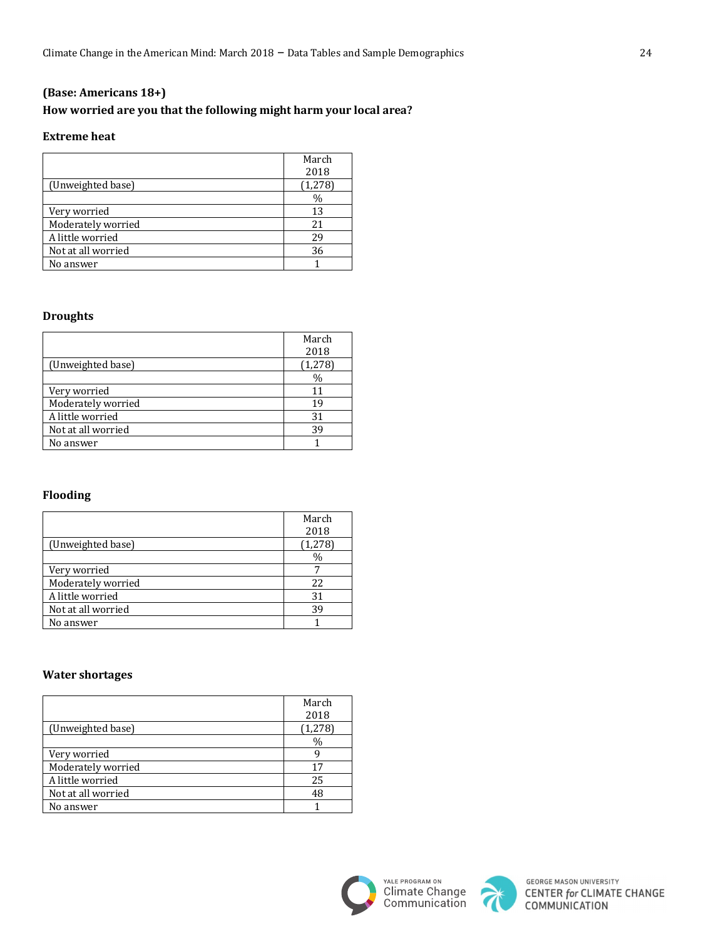# **(Base: Americans 18+)** How worried are you that the following might harm your local area?

#### **Extreme** heat

|                    | March |
|--------------------|-------|
|                    | 2018  |
| (Unweighted base)  | 1,278 |
|                    | $\%$  |
| Very worried       | 13    |
| Moderately worried | 2.1   |
| A little worried   | 29    |
| Not at all worried | 36    |
| No answer          |       |

### **Droughts**

|                    | March    |
|--------------------|----------|
|                    | 2018     |
| (Unweighted base)  | (1, 278) |
|                    | $\%$     |
| Very worried       | 11       |
| Moderately worried | 19       |
| A little worried   | 31       |
| Not at all worried | 39       |
| No answer          |          |

## **Flooding**

|                    | March         |
|--------------------|---------------|
|                    | 2018          |
| (Unweighted base)  | (1, 278)      |
|                    | $\frac{0}{0}$ |
| Very worried       |               |
| Moderately worried | 22            |
| A little worried   | 31            |
| Not at all worried | 39            |
| No answer          |               |

#### **Water shortages**

|                    | March    |
|--------------------|----------|
|                    | 2018     |
| (Unweighted base)  | (1, 278) |
|                    | $\%$     |
| Very worried       | q        |
| Moderately worried | 17       |
| A little worried   | 25       |
| Not at all worried | 48       |
| No answer          |          |



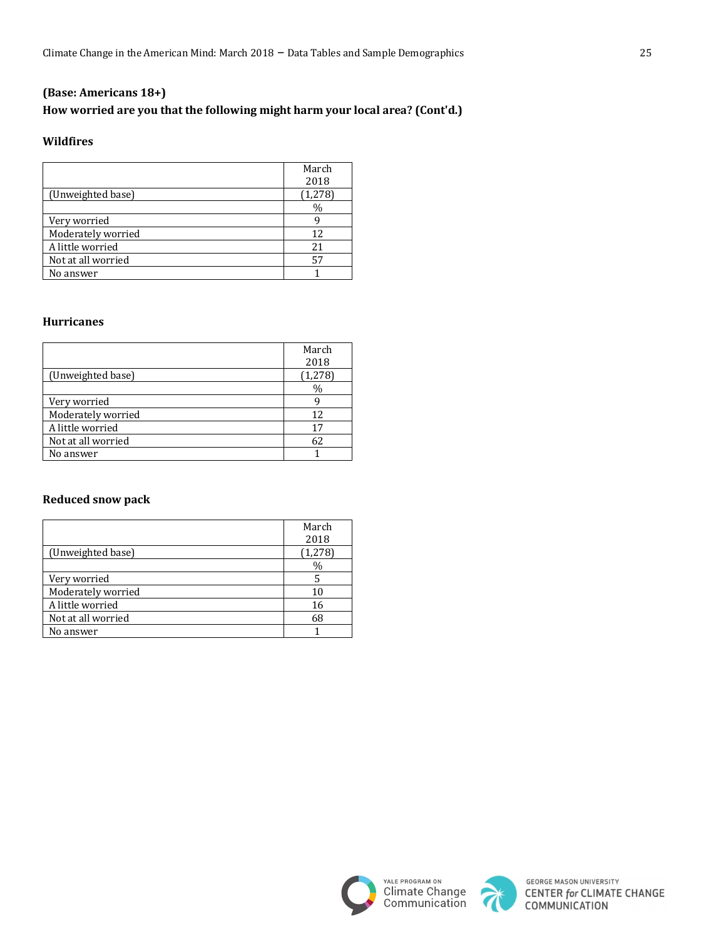# **(Base: Americans 18+)** How worried are you that the following might harm your local area? (Cont'd.)

#### **Wildfires**

|                    | March           |
|--------------------|-----------------|
| (Unweighted base)  | 2018<br>(1,278) |
|                    | %               |
| Very worried       |                 |
| Moderately worried | 12              |
| A little worried   | 21              |
| Not at all worried | 57              |
| No answer          |                 |

#### **Hurricanes**

|                    | March         |
|--------------------|---------------|
|                    | 2018          |
| (Unweighted base)  | (1, 278)      |
|                    | $\frac{0}{0}$ |
| Very worried       |               |
| Moderately worried | 12            |
| A little worried   | 17            |
| Not at all worried | 62            |
| No answer          |               |

### **Reduced snow pack**

|                    | March<br>2018 |
|--------------------|---------------|
| (Unweighted base)  | (1, 278)      |
|                    | $\frac{0}{0}$ |
| Very worried       | 5             |
| Moderately worried | 10            |
| A little worried   | 16            |
| Not at all worried | 68            |
| No answer          |               |





**GEORGE MASON UNIVERSITY CENTER for CLIMATE CHANGE**<br>COMMUNICATION